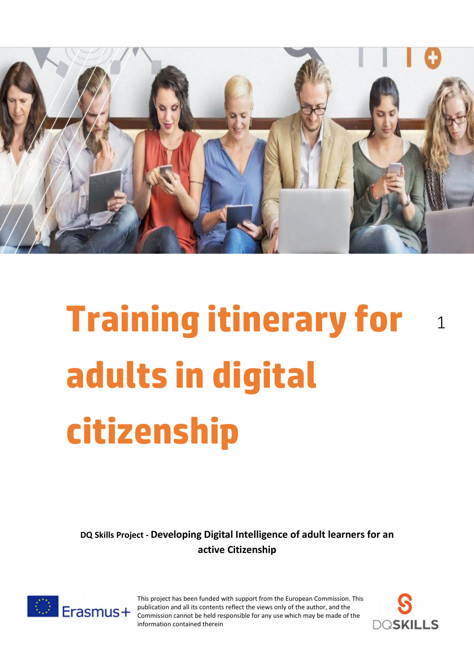

# **Training itinerary for** <sup>1</sup> **adults in digital citizenship**

**DQ Skills Project - Developing Digital Intelligence of adult learners for an active Citizenship**



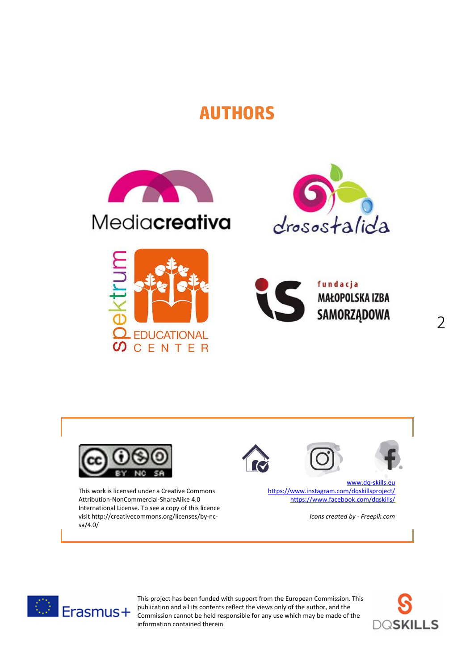# **AUTHORS**



# Mediacreativa









This work is licensed under a Creative Commons Attribution-NonCommercial-ShareAlike 4.0 International License. To see a copy of this licence visit http://creativecommons.org/licenses/by-ncsa/4.0/





www.dq-skills.eu https://www.instagram.com/dqskillsproject/ https://www.facebook.com/dqskills/

*Icons created by - Freepik.com*



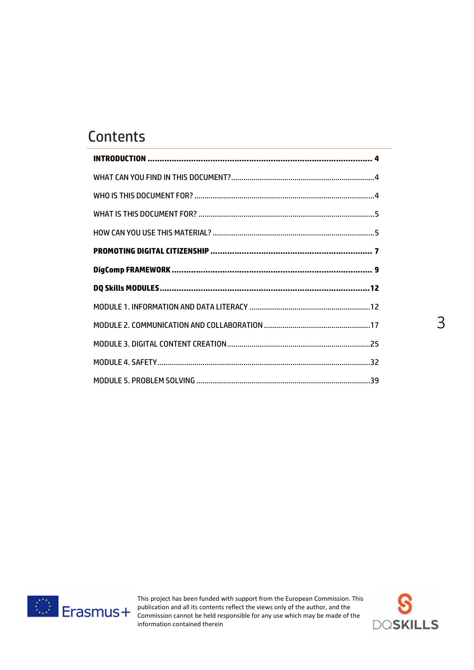# **Contents**



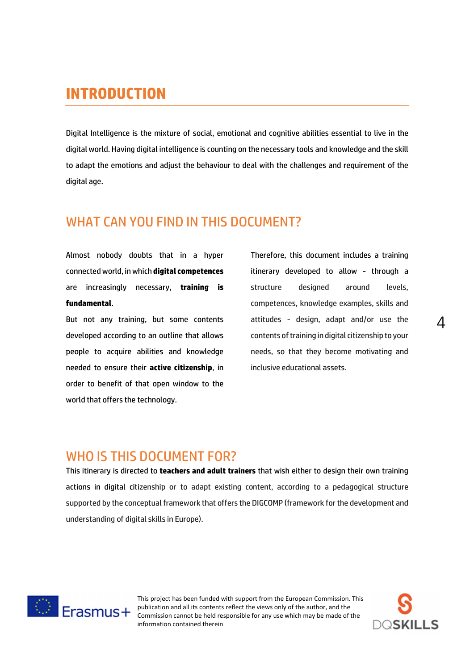# **INTRODUCTION**

Digital Intelligence is the mixture of social, emotional and cognitive abilities essential to live in the digital world. Having digital intelligence is counting on the necessary tools and knowledge and the skill to adapt the emotions and adjust the behaviour to deal with the challenges and requirement of the digital age.

#### WHAT CAN YOU FIND IN THIS DOCUMENT?

Almost nobody doubts that in a hyper connected world, in which **digital competences** are increasingly necessary, **training is fundamental**.

But not any training, but some contents developed according to an outline that allows people to acquire abilities and knowledge needed to ensure their **active citizenship**, in order to benefit of that open window to the world that offers the technology.

Therefore, this document includes a training itinerary developed to allow - through a structure designed around levels, competences, knowledge examples, skills and attitudes - design, adapt and/or use the contents of training in digital citizenship to your needs, so that they become motivating and inclusive educational assets.

#### WHO IS THIS DOCUMENT FOR?

This itinerary is directed to **teachers and adult trainers** that wish either to design their own training actions in digital citizenship or to adapt existing content, according to a pedagogical structure supported by the conceptual framework that offers the DIGCOMP (framework for the development and understanding of digital skills in Europe).



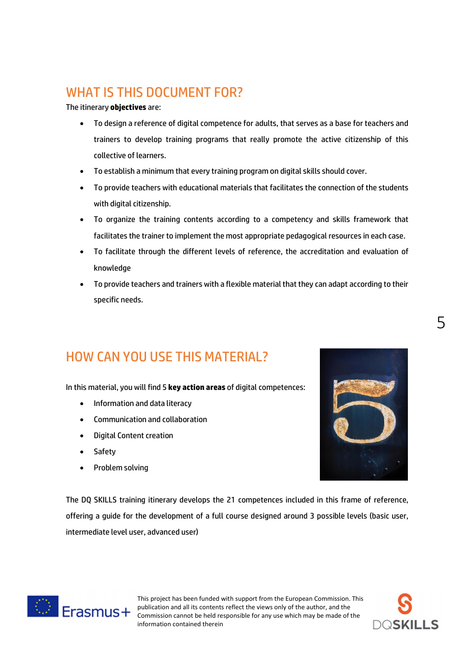# WHAT IS THIS DOCUMENT FOR?

The itinerary **objectives** are:

- To design a reference of digital competence for adults, that serves as a base for teachers and trainers to develop training programs that really promote the active citizenship of this collective of learners.
- To establish a minimum that every training program on digital skills should cover.
- To provide teachers with educational materials that facilitates the connection of the students with digital citizenship.
- To organize the training contents according to a competency and skills framework that facilitates the trainer to implement the most appropriate pedagogical resources in each case.
- To facilitate through the different levels of reference, the accreditation and evaluation of knowledge
- To provide teachers and trainers with a flexible material that they can adapt according to their specific needs.

# HOW CAN YOU USE THIS MATERIAL?

In this material, you will find 5 **key action areas** of digital competences:

- Information and data literacy
- Communication and collaboration
- Digital Content creation
- Safety
- Problem solving



The DQ SKILLS training itinerary develops the 21 competences included in this frame of reference, offering a guide for the development of a full course designed around 3 possible levels (basic user, intermediate level user, advanced user)



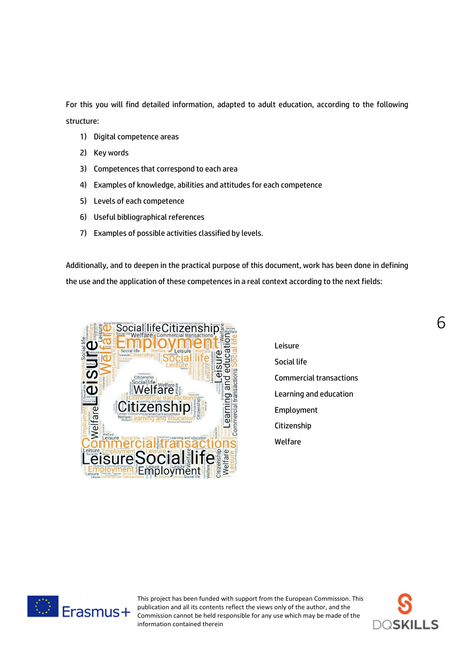For this you will find detailed information, adapted to adult education, according to the following structure:

- 1) Digital competence areas
- 2) Key words
- 3) Competences that correspond to each area
- 4) Examples of knowledge, abilities and attitudes for each competence
- 5) Levels of each competence
- 6) Useful bibliographical references
- 7) Examples of possible activities classified by levels.

Additionally, and to deepen in the practical purpose of this document, work has been done in defining the use and the application of these competences in a real context according to the next fields:



Leisure Social life Commercial transactions Learning and education Employment Citizenship Welfare



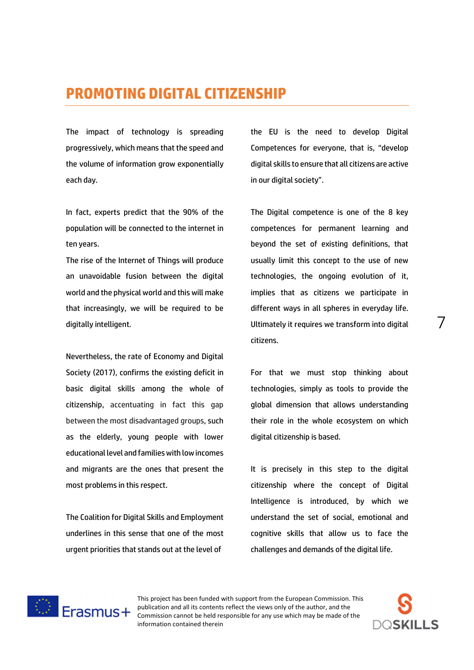# **PROMOTING DIGITAL CITIZENSHIP**

The impact of technology is spreading progressively, which means that the speed and the volume of information grow exponentially each day.

In fact, experts predict that the 90% of the population will be connected to the internet in ten years.

The rise of the Internet of Things will produce an unavoidable fusion between the digital world and the physical world and this will make that increasingly, we will be required to be digitally intelligent.

Nevertheless, the rate of Economy and Digital Society (2017), confirms the existing deficit in basic digital skills among the whole of citizenship, accentuating in fact this gap between the most disadvantaged groups, such as the elderly, young people with lower educational level and families with low incomes and migrants are the ones that present the most problems in this respect.

The Coalition for Digital Skills and Employment underlines in this sense that one of the most urgent priorities that stands out at the level of

the EU is the need to develop Digital Competences for everyone, that is, "develop digital skills to ensure that all citizens are active in our digital society".

The Digital competence is one of the 8 key competences for permanent learning and beyond the set of existing definitions, that usually limit this concept to the use of new technologies, the ongoing evolution of it, implies that as citizens we participate in different ways in all spheres in everyday life. Ultimately it requires we transform into digital citizens.

For that we must stop thinking about technologies, simply as tools to provide the global dimension that allows understanding their role in the whole ecosystem on which digital citizenship is based.

It is precisely in this step to the digital citizenship where the concept of Digital Intelligence is introduced, by which we understand the set of social, emotional and cognitive skills that allow us to face the challenges and demands of the digital life.



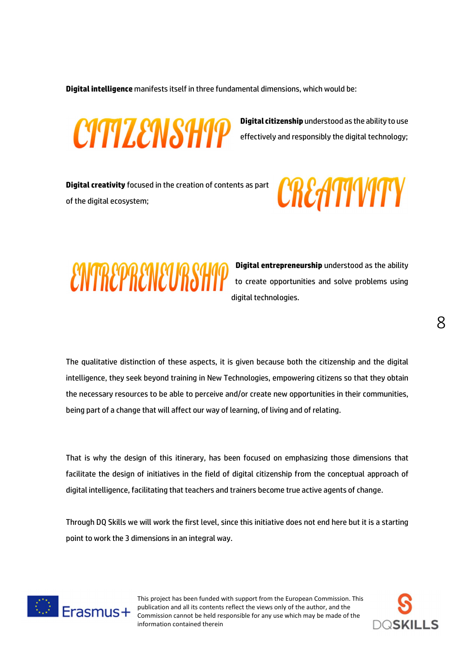**Digital intelligence** manifests itself in three fundamental dimensions, which would be:



**Digital citizenship** understood as the ability to use effectively and responsibly the digital technology;

**Digital creativity** focused in the creation of contents as part of the digital ecosystem;





**Digital entrepreneurship** understood as the ability to create opportunities and solve problems using digital technologies.

The qualitative distinction of these aspects, it is given because both the citizenship and the digital intelligence, they seek beyond training in New Technologies, empowering citizens so that they obtain the necessary resources to be able to perceive and/or create new opportunities in their communities, being part of a change that will affect our way of learning, of living and of relating.

That is why the design of this itinerary, has been focused on emphasizing those dimensions that facilitate the design of initiatives in the field of digital citizenship from the conceptual approach of digital intelligence, facilitating that teachers and trainers become true active agents of change.

Through DQ Skills we will work the first level, since this initiative does not end here but it is a starting point to work the 3 dimensions in an integral way.



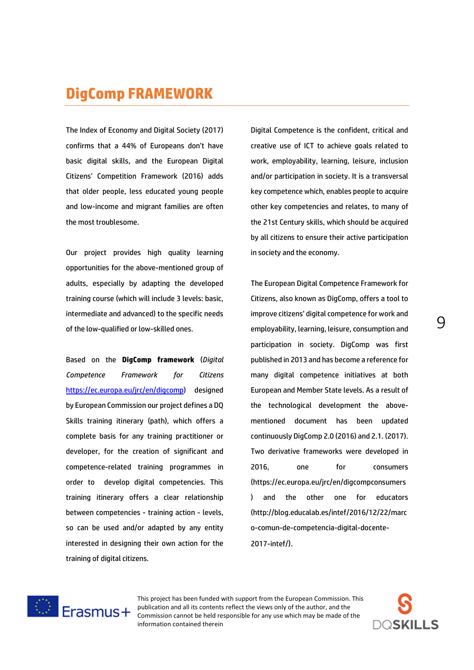The Index of Economy and Digital Society (2017) confirms that a 44% of Europeans don't have basic digital skills, and the European Digital Citizens' Competition Framework (2016) adds that older people, less educated young people and low-income and migrant families are often the most troublesome.

Our project provides high quality learning opportunities for the above-mentioned group of adults, especially by adapting the developed training course (which will include 3 levels: basic, intermediate and advanced) to the specific needs of the low-qualified or low-skilled ones.

Based on the **DigComp framework** (*Digital Competence Framework for Citizens* https://ec.europa.eu/jrc/en/digcomp) designed by European Commission our project defines a DQ Skills training itinerary (path), which offers a complete basis for any training practitioner or developer, for the creation of significant and competence-related training programmes in order to develop digital competencies. This training itinerary offers a clear relationship between competencies - training action - levels, so can be used and/or adapted by any entity interested in designing their own action for the training of digital citizens.

Digital Competence is the confident, critical and creative use of ICT to achieve goals related to work, employability, learning, leisure, inclusion and/or participation in society. It is a transversal key competence which, enables people to acquire other key competencies and relates, to many of the 21st Century skills, which should be acquired by all citizens to ensure their active participation in society and the economy.

The European Digital Competence Framework for Citizens, also known as DigComp, offers a tool to improve citizens' digital competence for work and employability, learning, leisure, consumption and participation in society. DigComp was first published in 2013 and has become a reference for many digital competence initiatives at both European and Member State levels. As a result of the technological development the abovementioned document has been updated continuously DigComp 2.0 (2016) and 2.1. (2017). Two derivative frameworks were developed in 2016, one for consumers (https://ec.europa.eu/jrc/en/digcompconsumers ) and the other one for educators (http://blog.educalab.es/intef/2016/12/22/marc o-comun-de-competencia-digital-docente-2017-intef/).



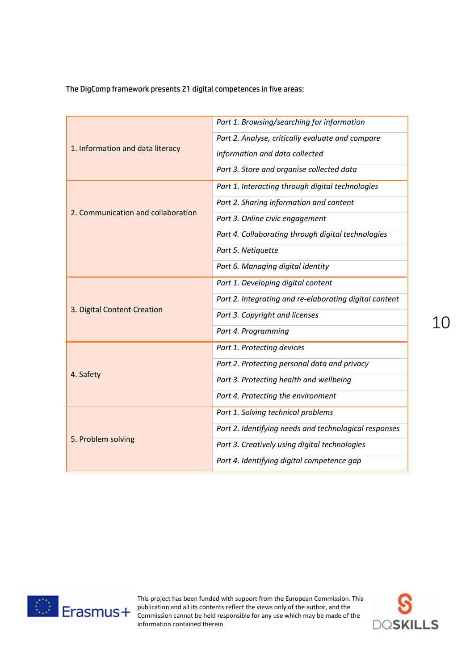The DigComp framework presents 21 digital competences in five areas:

|                                    | Part 1. Browsing/searching for information             |
|------------------------------------|--------------------------------------------------------|
| 1. Information and data literacy   | Part 2. Analyse, critically evaluate and compare       |
|                                    | information and data collected                         |
|                                    | Part 3. Store and organise collected data              |
|                                    | Part 1. Interacting through digital technologies       |
|                                    | Part 2. Sharing information and content                |
| 2. Communication and collaboration | Part 3. Online civic engagement                        |
|                                    | Part 4. Collaborating through digital technologies     |
|                                    | Part 5. Netiquette                                     |
|                                    | Part 6. Managing digital identity                      |
|                                    | Part 1. Developing digital content                     |
|                                    | Part 2. Integrating and re-elaborating digital content |
| 3. Digital Content Creation        | Part 3. Copyright and licenses                         |
|                                    | Part 4. Programming                                    |
|                                    | Part 1. Protecting devices                             |
|                                    | Part 2. Protecting personal data and privacy           |
| 4. Safety                          | Part 3. Protecting health and wellbeing                |
|                                    | Part 4. Protecting the environment                     |
|                                    | Part 1. Solving technical problems                     |
|                                    | Part 2. Identifying needs and technological responses  |
| 5. Problem solving                 | Part 3. Creatively using digital technologies          |
|                                    | Part 4. Identifying digital competence gap             |



This project has been funded with support from the European Commission. This publication and all its contents reflect the views only of the author, and the Commission cannot be held responsible for any use which may be made of the information contained therein

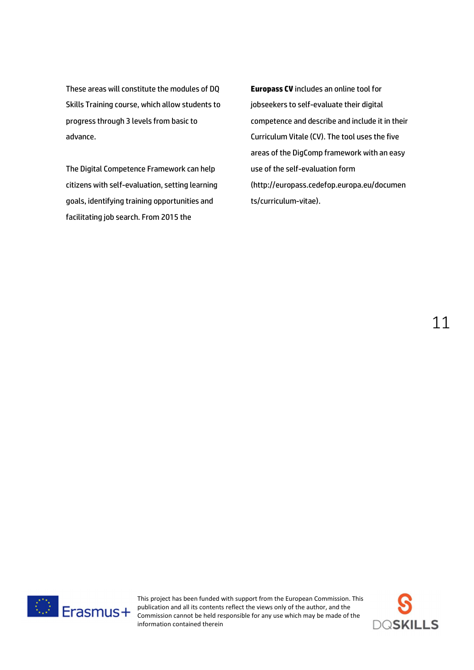These areas will constitute the modules of DQ Skills Training course, which allow students to progress through 3 levels from basic to advance.

The Digital Competence Framework can help citizens with self-evaluation, setting learning goals, identifying training opportunities and facilitating job search. From 2015 the

**Europass CV** includes an online tool for jobseekers to self-evaluate their digital competence and describe and include it in their Curriculum Vitale (CV). The tool uses the five areas of the DigComp framework with an easy use of the self-evaluation form (http://europass.cedefop.europa.eu/documen ts/curriculum-vitae).





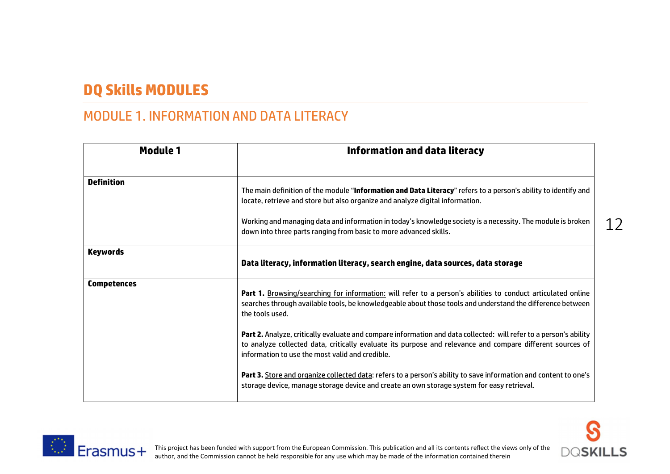# **DQ Skills MODULES**

# MODULE 1. INFORMATION AND DATA LITERACY

| <b>Module 1</b>    | <b>Information and data literacy</b>                                                                                                                                                                                                                                                                                                                                                |    |
|--------------------|-------------------------------------------------------------------------------------------------------------------------------------------------------------------------------------------------------------------------------------------------------------------------------------------------------------------------------------------------------------------------------------|----|
| <b>Definition</b>  | The main definition of the module "Information and Data Literacy" refers to a person's ability to identify and<br>locate, retrieve and store but also organize and analyze digital information.<br>Working and managing data and information in today's knowledge society is a necessity. The module is broken<br>down into three parts ranging from basic to more advanced skills. | 12 |
| <b>Keywords</b>    | Data literacy, information literacy, search engine, data sources, data storage                                                                                                                                                                                                                                                                                                      |    |
| <b>Competences</b> | Part 1. Browsing/searching for information: will refer to a person's abilities to conduct articulated online<br>searches through available tools, be knowledgeable about those tools and understand the difference between<br>the tools used.                                                                                                                                       |    |
|                    | Part 2. Analyze, critically evaluate and compare information and data collected: will refer to a person's ability<br>to analyze collected data, critically evaluate its purpose and relevance and compare different sources of<br>information to use the most valid and credible.                                                                                                   |    |
|                    | Part 3. Store and organize collected data: refers to a person's ability to save information and content to one's<br>storage device, manage storage device and create an own storage system for easy retrieval.                                                                                                                                                                      |    |



**DOSKILLS**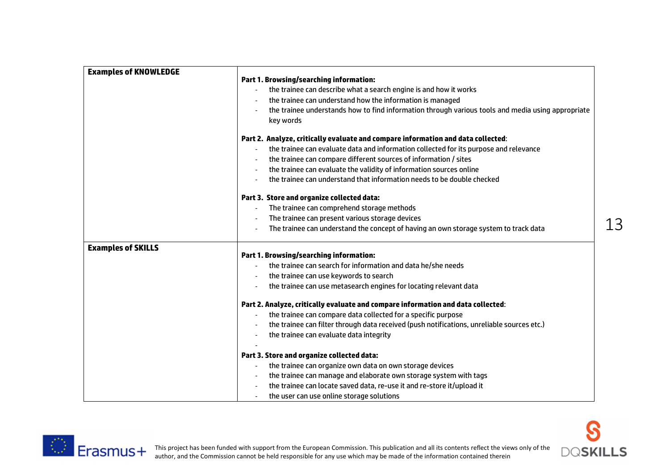| <b>Examples of KNOWLEDGE</b> |                                                                                                   |    |
|------------------------------|---------------------------------------------------------------------------------------------------|----|
|                              | <b>Part 1. Browsing/searching information:</b>                                                    |    |
|                              | the trainee can describe what a search engine is and how it works                                 |    |
|                              | the trainee can understand how the information is managed                                         |    |
|                              | the trainee understands how to find information through various tools and media using appropriate |    |
|                              | key words                                                                                         |    |
|                              | Part 2. Analyze, critically evaluate and compare information and data collected:                  |    |
|                              | the trainee can evaluate data and information collected for its purpose and relevance             |    |
|                              | the trainee can compare different sources of information / sites                                  |    |
|                              | the trainee can evaluate the validity of information sources online                               |    |
|                              | the trainee can understand that information needs to be double checked                            |    |
|                              | Part 3. Store and organize collected data:                                                        |    |
|                              | The trainee can comprehend storage methods                                                        |    |
|                              | The trainee can present various storage devices                                                   |    |
|                              | The trainee can understand the concept of having an own storage system to track data              | 13 |
| <b>Examples of SKILLS</b>    | <b>Part 1. Browsing/searching information:</b>                                                    |    |
|                              | the trainee can search for information and data he/she needs                                      |    |
|                              |                                                                                                   |    |
|                              | the trainee can use keywords to search                                                            |    |
|                              | the trainee can use metasearch engines for locating relevant data                                 |    |
|                              | Part 2. Analyze, critically evaluate and compare information and data collected:                  |    |
|                              | the trainee can compare data collected for a specific purpose                                     |    |
|                              | the trainee can filter through data received (push notifications, unreliable sources etc.)        |    |
|                              | the trainee can evaluate data integrity                                                           |    |
|                              | Part 3. Store and organize collected data:                                                        |    |
|                              | the trainee can organize own data on own storage devices                                          |    |
|                              | the trainee can manage and elaborate own storage system with tags                                 |    |
|                              | the trainee can locate saved data, re-use it and re-store it/upload it                            |    |
|                              | the user can use online storage solutions                                                         |    |

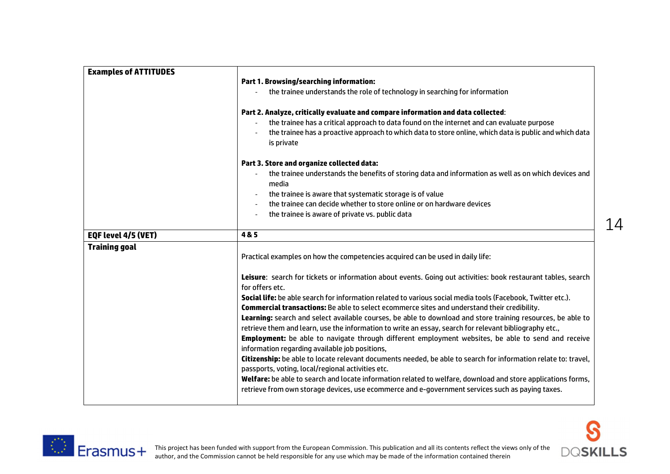| <b>Examples of ATTITUDES</b> |                                                                                                                                                                                                                       |    |
|------------------------------|-----------------------------------------------------------------------------------------------------------------------------------------------------------------------------------------------------------------------|----|
|                              | <b>Part 1. Browsing/searching information:</b>                                                                                                                                                                        |    |
|                              | the trainee understands the role of technology in searching for information                                                                                                                                           |    |
|                              | Part 2. Analyze, critically evaluate and compare information and data collected:                                                                                                                                      |    |
|                              | the trainee has a critical approach to data found on the internet and can evaluate purpose                                                                                                                            |    |
|                              | the trainee has a proactive approach to which data to store online, which data is public and which data<br>is private                                                                                                 |    |
|                              | Part 3. Store and organize collected data:                                                                                                                                                                            |    |
|                              | the trainee understands the benefits of storing data and information as well as on which devices and<br>media                                                                                                         |    |
|                              | the trainee is aware that systematic storage is of value                                                                                                                                                              |    |
|                              | the trainee can decide whether to store online or on hardware devices                                                                                                                                                 |    |
|                              | the trainee is aware of private vs. public data                                                                                                                                                                       |    |
|                              |                                                                                                                                                                                                                       | 14 |
| EQF level 4/5 (VET)          | 4&5                                                                                                                                                                                                                   |    |
| <b>Training goal</b>         | Practical examples on how the competencies acquired can be used in daily life:                                                                                                                                        |    |
|                              | Leisure: search for tickets or information about events. Going out activities: book restaurant tables, search<br>for offers etc.                                                                                      |    |
|                              | Social life: be able search for information related to various social media tools (Facebook, Twitter etc.).<br><b>Commercial transactions:</b> Be able to select ecommerce sites and understand their credibility.    |    |
|                              | Learning: search and select available courses, be able to download and store training resources, be able to<br>retrieve them and learn, use the information to write an essay, search for relevant bibliography etc., |    |
|                              | <b>Employment:</b> be able to navigate through different employment websites, be able to send and receive<br>information regarding available job positions,                                                           |    |
|                              | Citizenship: be able to locate relevant documents needed, be able to search for information relate to: travel,<br>passports, voting, local/regional activities etc.                                                   |    |
|                              | Welfare: be able to search and locate information related to welfare, download and store applications forms,<br>retrieve from own storage devices, use ecommerce and e-government services such as paying taxes.      |    |
|                              |                                                                                                                                                                                                                       |    |



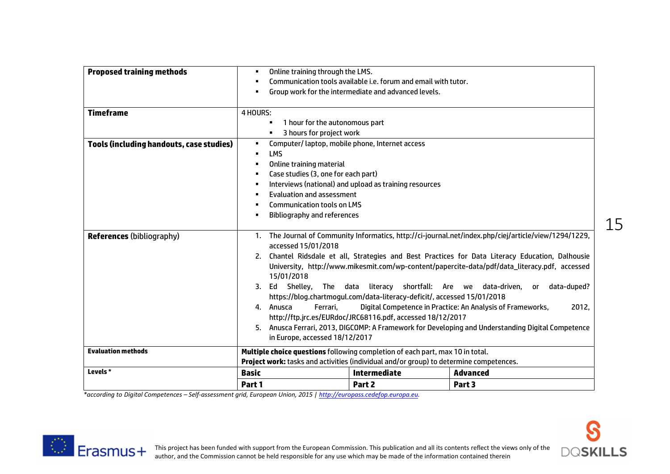| <b>Proposed training methods</b>                | Online training through the LMS.<br>٠                                                  |                                                                         |                                                                                                                                                                                                   |
|-------------------------------------------------|----------------------------------------------------------------------------------------|-------------------------------------------------------------------------|---------------------------------------------------------------------------------------------------------------------------------------------------------------------------------------------------|
|                                                 | ٠                                                                                      | Communication tools available i.e. forum and email with tutor.          |                                                                                                                                                                                                   |
|                                                 | $\blacksquare$                                                                         | Group work for the intermediate and advanced levels.                    |                                                                                                                                                                                                   |
| <b>Timeframe</b>                                | 4 HOURS:                                                                               |                                                                         |                                                                                                                                                                                                   |
|                                                 | 1 hour for the autonomous part<br>٠                                                    |                                                                         |                                                                                                                                                                                                   |
|                                                 | 3 hours for project work                                                               |                                                                         |                                                                                                                                                                                                   |
| <b>Tools (including handouts, case studies)</b> | ٠                                                                                      | Computer/laptop, mobile phone, Internet access                          |                                                                                                                                                                                                   |
|                                                 | <b>LMS</b><br>$\blacksquare$                                                           |                                                                         |                                                                                                                                                                                                   |
|                                                 | Online training material<br>٠                                                          |                                                                         |                                                                                                                                                                                                   |
|                                                 | Case studies (3, one for each part)                                                    |                                                                         |                                                                                                                                                                                                   |
|                                                 | ٠                                                                                      | Interviews (national) and upload as training resources                  |                                                                                                                                                                                                   |
|                                                 | Evaluation and assessment<br>$\blacksquare$                                            |                                                                         |                                                                                                                                                                                                   |
|                                                 | <b>Communication tools on LMS</b>                                                      |                                                                         |                                                                                                                                                                                                   |
|                                                 | Bibliography and references<br>$\blacksquare$                                          |                                                                         |                                                                                                                                                                                                   |
| <b>References (bibliography)</b>                | accessed 15/01/2018                                                                    |                                                                         | 1. The Journal of Community Informatics, http://ci-journal.net/index.php/ciej/article/view/1294/1229,                                                                                             |
|                                                 | 15/01/2018                                                                             |                                                                         | 2. Chantel Ridsdale et all, Strategies and Best Practices for Data Literacy Education, Dalhousie<br>University, http://www.mikesmit.com/wp-content/papercite-data/pdf/data_literacy.pdf, accessed |
|                                                 |                                                                                        | 3. Ed Shelley, The data literacy shortfall: Are we data-driven,         | data-duped?<br>or                                                                                                                                                                                 |
|                                                 |                                                                                        | https://blog.chartmogul.com/data-literacy-deficit/, accessed 15/01/2018 |                                                                                                                                                                                                   |
|                                                 | Ferrari,<br>4. Anusca                                                                  |                                                                         | Digital Competence in Practice: An Analysis of Frameworks,<br>2012,                                                                                                                               |
|                                                 |                                                                                        | http://ftp.jrc.es/EURdoc/JRC68116.pdf, accessed 18/12/2017              |                                                                                                                                                                                                   |
|                                                 |                                                                                        |                                                                         | 5. Anusca Ferrari, 2013, DIGCOMP: A Framework for Developing and Understanding Digital Competence                                                                                                 |
|                                                 | in Europe, accessed 18/12/2017                                                         |                                                                         |                                                                                                                                                                                                   |
| <b>Evaluation methods</b>                       | Multiple choice questions following completion of each part, max 10 in total.          |                                                                         |                                                                                                                                                                                                   |
|                                                 | Project work: tasks and activities (individual and/or group) to determine competences. |                                                                         |                                                                                                                                                                                                   |
| Levels *                                        | <b>Basic</b>                                                                           | <b>Intermediate</b>                                                     | <b>Advanced</b>                                                                                                                                                                                   |
|                                                 | Part 1                                                                                 | Part 2                                                                  | Part 3                                                                                                                                                                                            |

*\*according to Digital Competences – Self-assessment grid, European Union, 2015 | http://europass.cedefop.europa.eu.*



S

**DQSKILLS**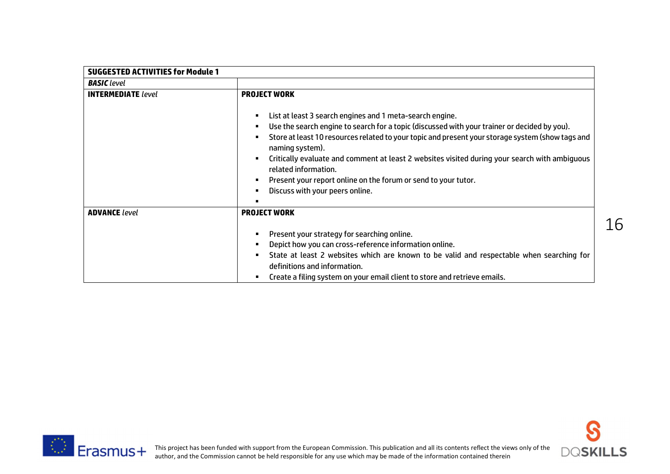| <b>SUGGESTED ACTIVITIES for Module 1</b> |                                                                                                                                                                                                                                                                                                                                       |
|------------------------------------------|---------------------------------------------------------------------------------------------------------------------------------------------------------------------------------------------------------------------------------------------------------------------------------------------------------------------------------------|
| <b>BASIC</b> level                       |                                                                                                                                                                                                                                                                                                                                       |
| <b>INTERMEDIATE</b> level                | <b>PROJECT WORK</b>                                                                                                                                                                                                                                                                                                                   |
|                                          | List at least 3 search engines and 1 meta-search engine.<br>$\blacksquare$<br>Use the search engine to search for a topic (discussed with your trainer or decided by you).<br>$\blacksquare$<br>Store at least 10 resources related to your topic and present your storage system (show tags and<br>$\blacksquare$<br>naming system). |
|                                          | Critically evaluate and comment at least 2 websites visited during your search with ambiguous<br>$\blacksquare$<br>related information.                                                                                                                                                                                               |
|                                          | Present your report online on the forum or send to your tutor.                                                                                                                                                                                                                                                                        |
|                                          | Discuss with your peers online.<br>$\blacksquare$                                                                                                                                                                                                                                                                                     |
|                                          |                                                                                                                                                                                                                                                                                                                                       |
| <b>ADVANCE</b> level                     | <b>PROJECT WORK</b>                                                                                                                                                                                                                                                                                                                   |
|                                          | Present your strategy for searching online.<br>$\blacksquare$                                                                                                                                                                                                                                                                         |
|                                          | Depict how you can cross-reference information online.<br>٠                                                                                                                                                                                                                                                                           |
|                                          | State at least 2 websites which are known to be valid and respectable when searching for<br>п.<br>definitions and information.                                                                                                                                                                                                        |
|                                          | Create a filing system on your email client to store and retrieve emails.                                                                                                                                                                                                                                                             |



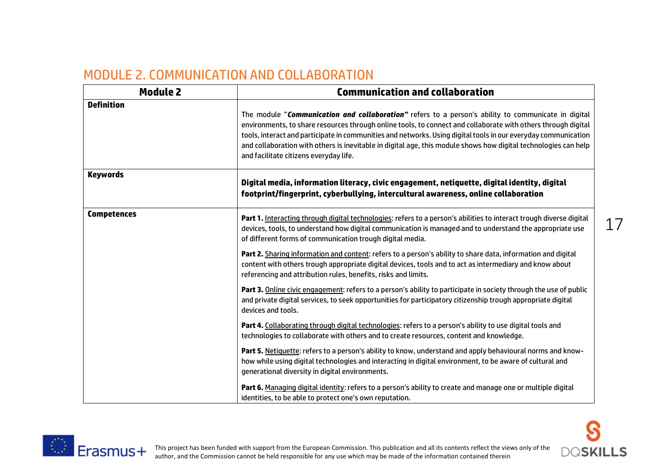## MODULE 2. COMMUNICATION AND COLLABORATION

| <b>Module 2</b>    | <b>Communication and collaboration</b>                                                                                                                                                                                                                                                                                                                                                                                                                                                              |
|--------------------|-----------------------------------------------------------------------------------------------------------------------------------------------------------------------------------------------------------------------------------------------------------------------------------------------------------------------------------------------------------------------------------------------------------------------------------------------------------------------------------------------------|
| <b>Definition</b>  | The module "Communication and collaboration" refers to a person's ability to communicate in digital<br>environments, to share resources through online tools, to connect and collaborate with others through digital<br>tools, interact and participate in communities and networks. Using digital tools in our everyday communication<br>and collaboration with others is inevitable in digital age, this module shows how digital technologies can help<br>and facilitate citizens everyday life. |
| <b>Keywords</b>    | Digital media, information literacy, civic engagement, netiquette, digital identity, digital<br>footprint/fingerprint, cyberbullying, intercultural awareness, online collaboration                                                                                                                                                                                                                                                                                                                 |
| <b>Competences</b> | Part 1. Interacting through digital technologies: refers to a person's abilities to interact trough diverse digital<br>devices, tools, to understand how digital communication is managed and to understand the appropriate use<br>of different forms of communication trough digital media.                                                                                                                                                                                                        |
|                    | Part 2. Sharing information and content: refers to a person's ability to share data, information and digital<br>content with others trough appropriate digital devices, tools and to act as intermediary and know about<br>referencing and attribution rules, benefits, risks and limits.                                                                                                                                                                                                           |
|                    | Part 3. Online civic engagement: refers to a person's ability to participate in society through the use of public<br>and private digital services, to seek opportunities for participatory citizenship trough appropriate digital<br>devices and tools.                                                                                                                                                                                                                                             |
|                    | Part 4. Collaborating through digital technologies: refers to a person's ability to use digital tools and<br>technologies to collaborate with others and to create resources, content and knowledge.                                                                                                                                                                                                                                                                                                |
|                    | Part 5. Netiquette: refers to a person's ability to know, understand and apply behavioural norms and know-<br>how while using digital technologies and interacting in digital environment, to be aware of cultural and<br>generational diversity in digital environments.                                                                                                                                                                                                                           |
|                    | Part 6. Managing digital identity: refers to a person's ability to create and manage one or multiple digital<br>identities, to be able to protect one's own reputation.                                                                                                                                                                                                                                                                                                                             |



**DOSKILLS**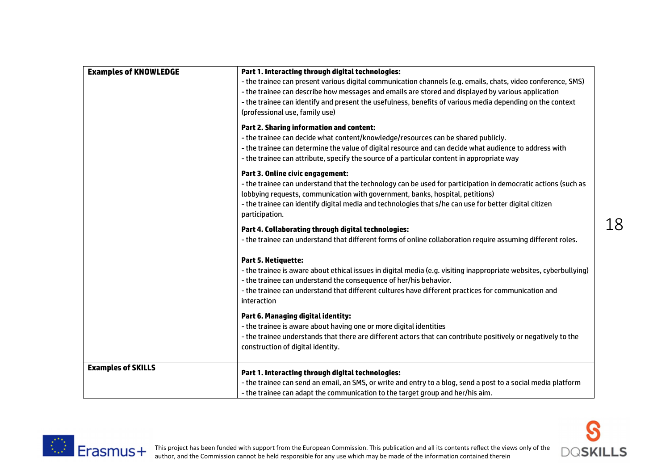| <b>Examples of KNOWLEDGE</b> | Part 1. Interacting through digital technologies:<br>- the trainee can present various digital communication channels (e.g. emails, chats, video conference, SMS)<br>- the trainee can describe how messages and emails are stored and displayed by various application<br>- the trainee can identify and present the usefulness, benefits of various media depending on the context<br>(professional use, family use) |
|------------------------------|------------------------------------------------------------------------------------------------------------------------------------------------------------------------------------------------------------------------------------------------------------------------------------------------------------------------------------------------------------------------------------------------------------------------|
|                              | <b>Part 2. Sharing information and content:</b><br>- the trainee can decide what content/knowledge/resources can be shared publicly.<br>- the trainee can determine the value of digital resource and can decide what audience to address with<br>- the trainee can attribute, specify the source of a particular content in appropriate way                                                                           |
|                              | Part 3. Online civic engagement:<br>- the trainee can understand that the technology can be used for participation in democratic actions (such as<br>lobbying requests, communication with government, banks, hospital, petitions)<br>- the trainee can identify digital media and technologies that s/he can use for better digital citizen<br>participation.                                                         |
|                              | Part 4. Collaborating through digital technologies:<br>- the trainee can understand that different forms of online collaboration require assuming different roles.                                                                                                                                                                                                                                                     |
|                              | <b>Part 5. Netiquette:</b><br>- the trainee is aware about ethical issues in digital media (e.g. visiting inappropriate websites, cyberbullying)<br>- the trainee can understand the consequence of her/his behavior.<br>- the trainee can understand that different cultures have different practices for communication and<br>interaction                                                                            |
|                              | Part 6. Managing digital identity:<br>- the trainee is aware about having one or more digital identities<br>- the trainee understands that there are different actors that can contribute positively or negatively to the<br>construction of digital identity.                                                                                                                                                         |
| <b>Examples of SKILLS</b>    | Part 1. Interacting through digital technologies:<br>- the trainee can send an email, an SMS, or write and entry to a blog, send a post to a social media platform<br>- the trainee can adapt the communication to the target group and her/his aim.                                                                                                                                                                   |



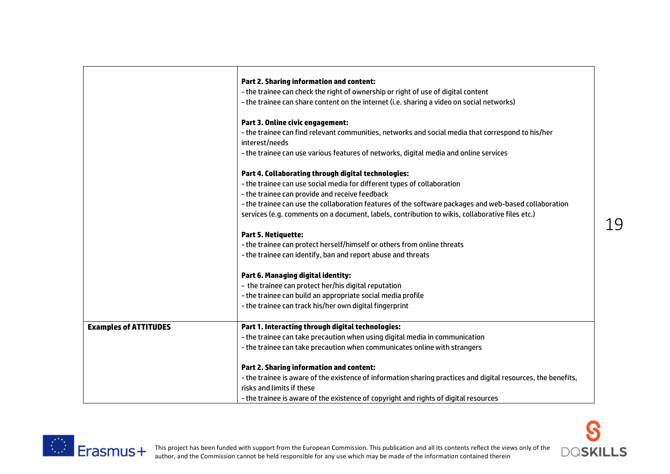|                              | <b>Part 2. Sharing information and content:</b>                                                               |
|------------------------------|---------------------------------------------------------------------------------------------------------------|
|                              | - the trainee can check the right of ownership or right of use of digital content                             |
|                              | - the trainee can share content on the internet (i.e. sharing a video on social networks)                     |
|                              | Part 3. Online civic engagement:                                                                              |
|                              | - the trainee can find relevant communities, networks and social media that correspond to his/her             |
|                              | interest/needs                                                                                                |
|                              | - the trainee can use various features of networks, digital media and online services                         |
|                              | Part 4. Collaborating through digital technologies:                                                           |
|                              | - the trainee can use social media for different types of collaboration                                       |
|                              | - the trainee can provide and receive feedback                                                                |
|                              | - the trainee can use the collaboration features of the software packages and web-based collaboration         |
|                              | services (e.g. comments on a document, labels, contribution to wikis, collaborative files etc.)               |
|                              | <b>Part 5. Netiquette:</b>                                                                                    |
|                              | - the trainee can protect herself/himself or others from online threats                                       |
|                              | - the trainee can identify, ban and report abuse and threats                                                  |
|                              | Part 6. Managing digital identity:                                                                            |
|                              | - the trainee can protect her/his digital reputation                                                          |
|                              | - the trainee can build an appropriate social media profile                                                   |
|                              | - the trainee can track his/her own digital fingerprint                                                       |
| <b>Examples of ATTITUDES</b> | Part 1. Interacting through digital technologies:                                                             |
|                              | - the trainee can take precaution when using digital media in communication                                   |
|                              | - the trainee can take precaution when communicates online with strangers                                     |
|                              | <b>Part 2. Sharing information and content:</b>                                                               |
|                              | - the trainee is aware of the existence of information sharing practices and digital resources, the benefits, |
|                              | risks and limits if these                                                                                     |
|                              | - the trainee is aware of the existence of copyright and rights of digital resources                          |



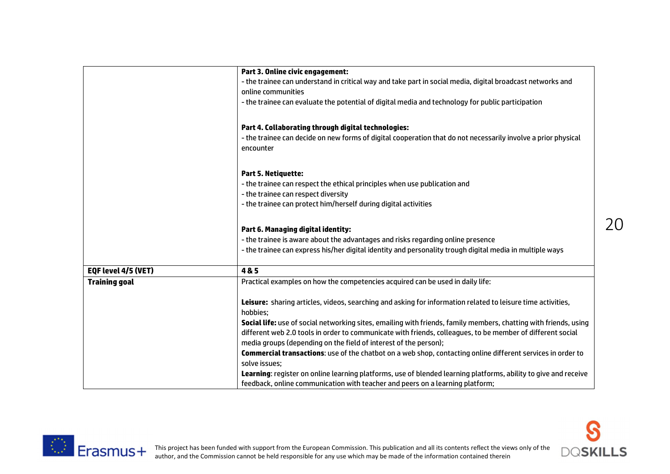|                      | Part 3. Online civic engagement:                                                                                           |
|----------------------|----------------------------------------------------------------------------------------------------------------------------|
|                      | - the trainee can understand in critical way and take part in social media, digital broadcast networks and                 |
|                      | online communities                                                                                                         |
|                      | - the trainee can evaluate the potential of digital media and technology for public participation                          |
|                      | Part 4. Collaborating through digital technologies:                                                                        |
|                      | - the trainee can decide on new forms of digital cooperation that do not necessarily involve a prior physical<br>encounter |
|                      | <b>Part 5. Netiquette:</b>                                                                                                 |
|                      | - the trainee can respect the ethical principles when use publication and                                                  |
|                      | - the trainee can respect diversity                                                                                        |
|                      | - the trainee can protect him/herself during digital activities                                                            |
|                      | Part 6. Managing digital identity:                                                                                         |
|                      | - the trainee is aware about the advantages and risks regarding online presence                                            |
|                      | - the trainee can express his/her digital identity and personality trough digital media in multiple ways                   |
| EQF level 4/5 (VET)  | 4&5                                                                                                                        |
| <b>Training goal</b> | Practical examples on how the competencies acquired can be used in daily life:                                             |
|                      | Leisure: sharing articles, videos, searching and asking for information related to leisure time activities,<br>hobbies;    |
|                      | Social life: use of social networking sites, emailing with friends, family members, chatting with friends, using           |
|                      | different web 2.0 tools in order to communicate with friends, colleagues, to be member of different social                 |
|                      | media groups (depending on the field of interest of the person);                                                           |
|                      | Commercial transactions: use of the chatbot on a web shop, contacting online different services in order to                |
|                      | solve issues;                                                                                                              |
|                      | Learning: register on online learning platforms, use of blended learning platforms, ability to give and receive            |
|                      | feedback, online communication with teacher and peers on a learning platform;                                              |



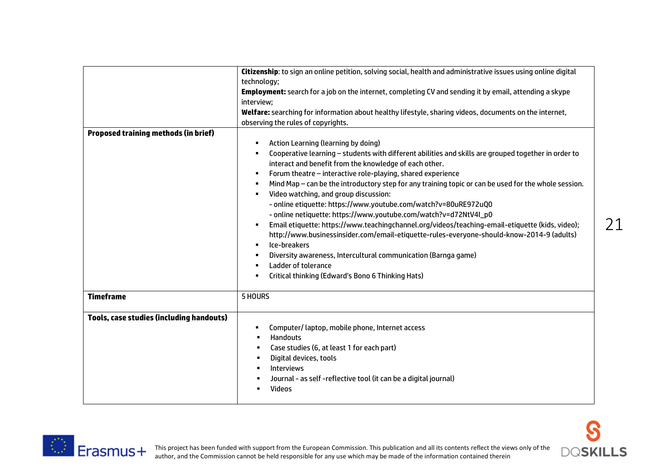|                                                 | Citizenship: to sign an online petition, solving social, health and administrative issues using online digital<br>technology;                                                                                                                                                                                                                                                                                                                                                                                                                                                                                                                                                                                                                                                                                                                                                                                                                                                                                  |
|-------------------------------------------------|----------------------------------------------------------------------------------------------------------------------------------------------------------------------------------------------------------------------------------------------------------------------------------------------------------------------------------------------------------------------------------------------------------------------------------------------------------------------------------------------------------------------------------------------------------------------------------------------------------------------------------------------------------------------------------------------------------------------------------------------------------------------------------------------------------------------------------------------------------------------------------------------------------------------------------------------------------------------------------------------------------------|
|                                                 | Employment: search for a job on the internet, completing CV and sending it by email, attending a skype<br>interview;                                                                                                                                                                                                                                                                                                                                                                                                                                                                                                                                                                                                                                                                                                                                                                                                                                                                                           |
|                                                 | Welfare: searching for information about healthy lifestyle, sharing videos, documents on the internet,<br>observing the rules of copyrights.                                                                                                                                                                                                                                                                                                                                                                                                                                                                                                                                                                                                                                                                                                                                                                                                                                                                   |
| <b>Proposed training methods (in brief)</b>     | Action Learning (learning by doing)<br>٠<br>Cooperative learning - students with different abilities and skills are grouped together in order to<br>٠<br>interact and benefit from the knowledge of each other.<br>Forum theatre - interactive role-playing, shared experience<br>٠<br>Mind Map - can be the introductory step for any training topic or can be used for the whole session.<br>$\blacksquare$<br>Video watching, and group discussion:<br>$\blacksquare$<br>- online etiquette: https://www.youtube.com/watch?v=80uRE972uQ0<br>- online netiquette: https://www.youtube.com/watch?v=d72NtV4I_p0<br>Email etiquette: https://www.teachingchannel.org/videos/teaching-email-etiquette (kids, video);<br>٠<br>http://www.businessinsider.com/email-etiquette-rules-everyone-should-know-2014-9 (adults)<br>Ice-breakers<br>٠<br>Diversity awareness, Intercultural communication (Barnga game)<br>Ladder of tolerance<br>$\blacksquare$<br>Critical thinking (Edward's Bono 6 Thinking Hats)<br>٠ |
| <b>Timeframe</b>                                | 5 HOURS                                                                                                                                                                                                                                                                                                                                                                                                                                                                                                                                                                                                                                                                                                                                                                                                                                                                                                                                                                                                        |
| <b>Tools, case studies (including handouts)</b> | Computer/laptop, mobile phone, Internet access<br>٠<br><b>Handouts</b><br>$\blacksquare$<br>Case studies (6, at least 1 for each part)<br>$\blacksquare$<br>Digital devices, tools<br>$\blacksquare$<br><b>Interviews</b><br>$\blacksquare$<br>Journal - as self -reflective tool (it can be a digital journal)<br>٠<br>Videos                                                                                                                                                                                                                                                                                                                                                                                                                                                                                                                                                                                                                                                                                 |



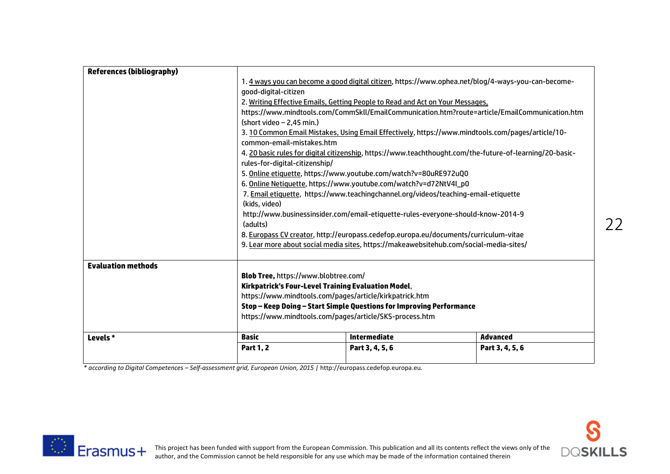|                                  | <b>Part 1, 2</b>                                                                                               | Part 3, 4, 5, 6                                                                                          | Part 3, 4, 5, 6 |
|----------------------------------|----------------------------------------------------------------------------------------------------------------|----------------------------------------------------------------------------------------------------------|-----------------|
| Levels *                         | Basic                                                                                                          | <b>Intermediate</b>                                                                                      | <b>Advanced</b> |
|                                  |                                                                                                                |                                                                                                          |                 |
|                                  | https://www.mindtools.com/pages/article/SKS-process.htm                                                        |                                                                                                          |                 |
|                                  | Stop – Keep Doing – Start Simple Questions for Improving Performance                                           |                                                                                                          |                 |
|                                  | Kirkpatrick's Four-Level Training Evaluation Model,<br>https://www.mindtools.com/pages/article/kirkpatrick.htm |                                                                                                          |                 |
|                                  | Blob Tree, https://www.blobtree.com/                                                                           |                                                                                                          |                 |
| <b>Evaluation methods</b>        |                                                                                                                |                                                                                                          |                 |
|                                  |                                                                                                                |                                                                                                          |                 |
|                                  |                                                                                                                | 9. Lear more about social media sites, https://makeawebsitehub.com/social-media-sites/                   |                 |
|                                  |                                                                                                                | 8. Europass CV creator, http://europass.cedefop.europa.eu/documents/curriculum-vitae                     |                 |
|                                  | (adults)                                                                                                       |                                                                                                          |                 |
|                                  | (kids, video)<br>http://www.businessinsider.com/email-etiquette-rules-everyone-should-know-2014-9              |                                                                                                          |                 |
|                                  | 7. Email etiquette, https://www.teachingchannel.org/videos/teaching-email-etiquette                            |                                                                                                          |                 |
|                                  | 6. Online Netiquette, https://www.youtube.com/watch?v=d72NtV4I_p0                                              |                                                                                                          |                 |
|                                  |                                                                                                                | 5. Online etiquette, https://www.youtube.com/watch?v=80uRE972uQ0                                         |                 |
|                                  | rules-for-digital-citizenship/                                                                                 |                                                                                                          |                 |
|                                  |                                                                                                                | 4. 20 basic rules for digital citizenship, https://www.teachthought.com/the-future-of-learning/20-basic- |                 |
|                                  | common-email-mistakes.htm                                                                                      | 3. 10 Common Email Mistakes, Using Email Effectively, https://www.mindtools.com/pages/article/10-        |                 |
|                                  | (short video - 2,45 min.)                                                                                      |                                                                                                          |                 |
|                                  |                                                                                                                | https://www.mindtools.com/CommSkll/EmailCommunication.htm?route=article/EmailCommunication.htm           |                 |
|                                  | 2. Writing Effective Emails, Getting People to Read and Act on Your Messages,                                  |                                                                                                          |                 |
|                                  | good-digital-citizen                                                                                           |                                                                                                          |                 |
|                                  | 1. 4 ways you can become a good digital citizen, https://www.ophea.net/blog/4-ways-you-can-become-             |                                                                                                          |                 |
| <b>References (bibliography)</b> |                                                                                                                |                                                                                                          |                 |

*\* according to Digital Competences – Self-assessment grid, European Union, 2015 |* http://europass.cedefop.europa.eu*.*



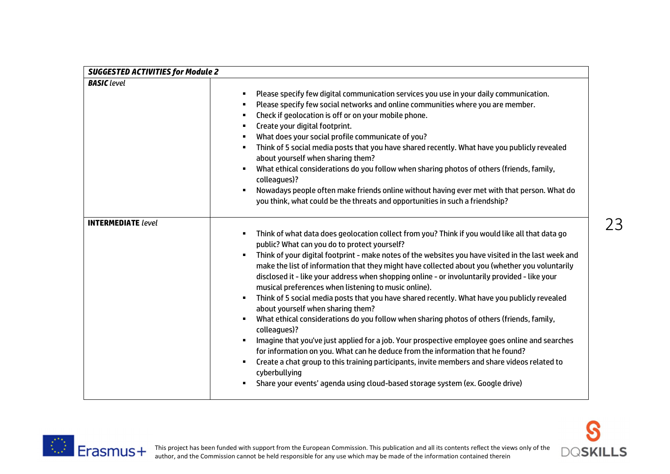| <b>SUGGESTED ACTIVITIES for Module 2</b> |                                                                                                                                                                                                                                                                                                                                                                                                                                                                                                                                                                                                                                                                                                                                                                                                                                                                                                                                                                                                                                                                                                                                                                                                                                  |  |
|------------------------------------------|----------------------------------------------------------------------------------------------------------------------------------------------------------------------------------------------------------------------------------------------------------------------------------------------------------------------------------------------------------------------------------------------------------------------------------------------------------------------------------------------------------------------------------------------------------------------------------------------------------------------------------------------------------------------------------------------------------------------------------------------------------------------------------------------------------------------------------------------------------------------------------------------------------------------------------------------------------------------------------------------------------------------------------------------------------------------------------------------------------------------------------------------------------------------------------------------------------------------------------|--|
| <b>BASIC</b> level                       | Please specify few digital communication services you use in your daily communication.<br>$\blacksquare$<br>Please specify few social networks and online communities where you are member.<br>$\blacksquare$<br>Check if geolocation is off or on your mobile phone.<br>$\blacksquare$<br>Create your digital footprint.<br>$\blacksquare$                                                                                                                                                                                                                                                                                                                                                                                                                                                                                                                                                                                                                                                                                                                                                                                                                                                                                      |  |
|                                          | What does your social profile communicate of you?<br>п<br>Think of 5 social media posts that you have shared recently. What have you publicly revealed<br>$\blacksquare$<br>about yourself when sharing them?<br>What ethical considerations do you follow when sharing photos of others (friends, family,<br>$\blacksquare$<br>colleagues)?                                                                                                                                                                                                                                                                                                                                                                                                                                                                                                                                                                                                                                                                                                                                                                                                                                                                                     |  |
|                                          | Nowadays people often make friends online without having ever met with that person. What do<br>you think, what could be the threats and opportunities in such a friendship?                                                                                                                                                                                                                                                                                                                                                                                                                                                                                                                                                                                                                                                                                                                                                                                                                                                                                                                                                                                                                                                      |  |
| <b>INTERMEDIATE</b> level                | Think of what data does geolocation collect from you? Think if you would like all that data go<br>$\blacksquare$<br>public? What can you do to protect yourself?<br>Think of your digital footprint - make notes of the websites you have visited in the last week and<br>$\blacksquare$<br>make the list of information that they might have collected about you (whether you voluntarily<br>disclosed it - like your address when shopping online - or involuntarily provided - like your<br>musical preferences when listening to music online).<br>Think of 5 social media posts that you have shared recently. What have you publicly revealed<br>$\blacksquare$<br>about yourself when sharing them?<br>What ethical considerations do you follow when sharing photos of others (friends, family,<br>$\blacksquare$<br>colleagues)?<br>Imagine that you've just applied for a job. Your prospective employee goes online and searches<br>for information on you. What can he deduce from the information that he found?<br>Create a chat group to this training participants, invite members and share videos related to<br>cyberbullying<br>Share your events' agenda using cloud-based storage system (ex. Google drive) |  |



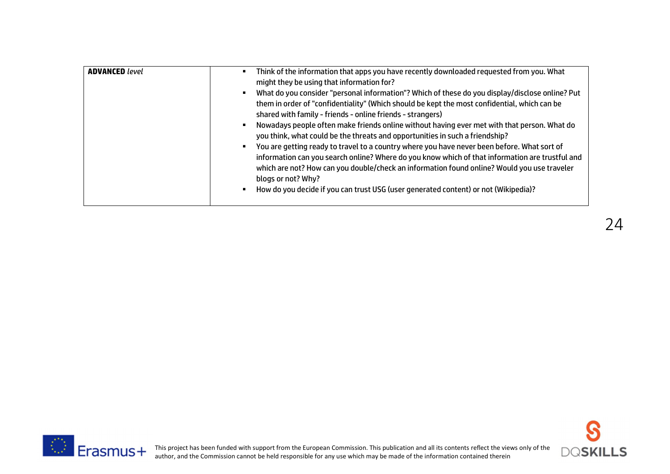| <b>ADVANCED</b> level | Think of the information that apps you have recently downloaded requested from you. What        |
|-----------------------|-------------------------------------------------------------------------------------------------|
|                       | might they be using that information for?                                                       |
|                       | What do you consider "personal information"? Which of these do you display/disclose online? Put |
|                       | them in order of "confidentiality" (Which should be kept the most confidential, which can be    |
|                       | shared with family - friends - online friends - strangers)                                      |
|                       | Nowadays people often make friends online without having ever met with that person. What do     |
|                       | you think, what could be the threats and opportunities in such a friendship?                    |
|                       | You are getting ready to travel to a country where you have never been before. What sort of     |
|                       | information can you search online? Where do you know which of that information are trustful and |
|                       | which are not? How can you double/check an information found online? Would you use traveler     |
|                       | blogs or not? Why?                                                                              |
|                       | How do you decide if you can trust USG (user generated content) or not (Wikipedia)?             |
|                       |                                                                                                 |



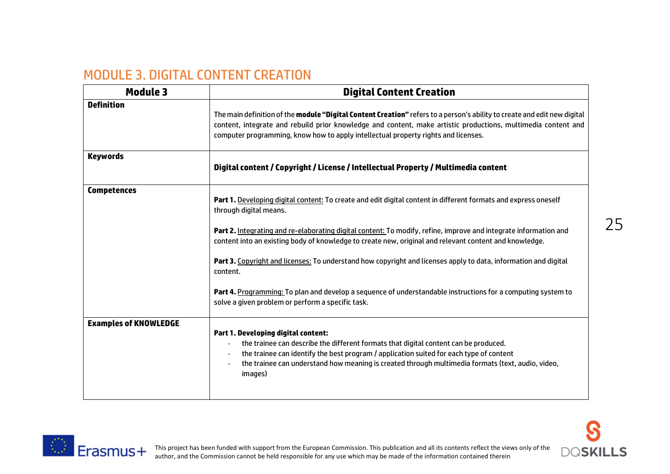# MODULE 3. DIGITAL CONTENT CREATION

| <b>Module 3</b>              | <b>Digital Content Creation</b>                                                                                                                                                                                                                                                                                                                                            |  |
|------------------------------|----------------------------------------------------------------------------------------------------------------------------------------------------------------------------------------------------------------------------------------------------------------------------------------------------------------------------------------------------------------------------|--|
| <b>Definition</b>            | The main definition of the <b>module "Digital Content Creation"</b> refers to a person's ability to create and edit new digital<br>content, integrate and rebuild prior knowledge and content, make artistic productions, multimedia content and<br>computer programming, know how to apply intellectual property rights and licenses.                                     |  |
| <b>Keywords</b>              | Digital content / Copyright / License / Intellectual Property / Multimedia content                                                                                                                                                                                                                                                                                         |  |
| <b>Competences</b>           | Part 1. Developing digital content: To create and edit digital content in different formats and express oneself<br>through digital means.                                                                                                                                                                                                                                  |  |
|                              | Part 2. Integrating and re-elaborating digital content: To modify, refine, improve and integrate information and<br>content into an existing body of knowledge to create new, original and relevant content and knowledge.                                                                                                                                                 |  |
|                              | Part 3. Copyright and licenses: To understand how copyright and licenses apply to data, information and digital<br>content.                                                                                                                                                                                                                                                |  |
|                              | Part 4. Programming: To plan and develop a sequence of understandable instructions for a computing system to<br>solve a given problem or perform a specific task.                                                                                                                                                                                                          |  |
| <b>Examples of KNOWLEDGE</b> | Part 1. Developing digital content:<br>the trainee can describe the different formats that digital content can be produced.<br>$\overline{a}$<br>the trainee can identify the best program / application suited for each type of content<br>the trainee can understand how meaning is created through multimedia formats (text, audio, video,<br>$\overline{a}$<br>images) |  |



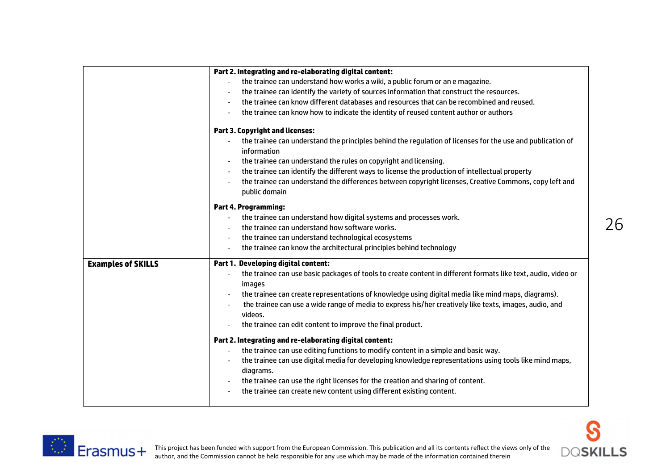|                           | Part 2. Integrating and re-elaborating digital content:                                                                    |
|---------------------------|----------------------------------------------------------------------------------------------------------------------------|
|                           | the trainee can understand how works a wiki, a public forum or an e magazine.                                              |
|                           | the trainee can identify the variety of sources information that construct the resources.                                  |
|                           | the trainee can know different databases and resources that can be recombined and reused.                                  |
|                           | the trainee can know how to indicate the identity of reused content author or authors<br>$\overline{\phantom{a}}$          |
|                           | <b>Part 3. Copyright and licenses:</b>                                                                                     |
|                           | the trainee can understand the principles behind the regulation of licenses for the use and publication of<br>information  |
|                           | the trainee can understand the rules on copyright and licensing.                                                           |
|                           | the trainee can identify the different ways to license the production of intellectual property<br>$\overline{\phantom{a}}$ |
|                           | the trainee can understand the differences between copyright licenses, Creative Commons, copy left and<br>public domain    |
|                           | <b>Part 4. Programming:</b>                                                                                                |
|                           | the trainee can understand how digital systems and processes work.                                                         |
|                           | the trainee can understand how software works.                                                                             |
|                           | the trainee can understand technological ecosystems<br>$\overline{\phantom{a}}$                                            |
|                           | the trainee can know the architectural principles behind technology<br>$\overline{\phantom{a}}$                            |
| <b>Examples of SKILLS</b> | Part 1. Developing digital content:                                                                                        |
|                           | the trainee can use basic packages of tools to create content in different formats like text, audio, video or              |
|                           | images                                                                                                                     |
|                           | the trainee can create representations of knowledge using digital media like mind maps, diagrams).                         |
|                           | the trainee can use a wide range of media to express his/her creatively like texts, images, audio, and                     |
|                           | videos.                                                                                                                    |
|                           | the trainee can edit content to improve the final product.                                                                 |
|                           | Part 2. Integrating and re-elaborating digital content:                                                                    |
|                           | the trainee can use editing functions to modify content in a simple and basic way.                                         |
|                           | the trainee can use digital media for developing knowledge representations using tools like mind maps,                     |
|                           | diagrams.                                                                                                                  |
|                           | the trainee can use the right licenses for the creation and sharing of content.                                            |
|                           | the trainee can create new content using different existing content.                                                       |
|                           |                                                                                                                            |



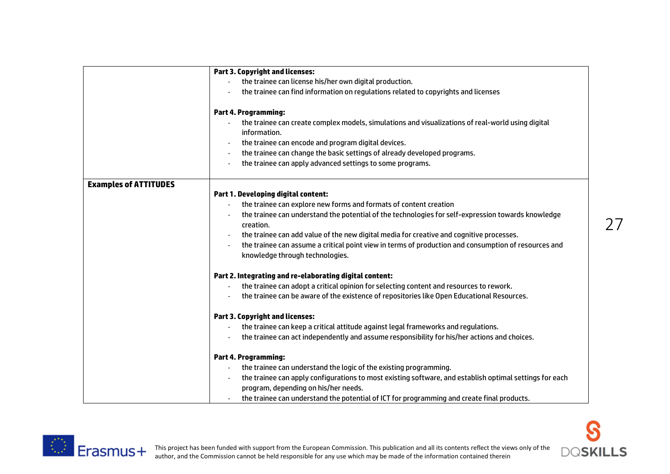|                              | <b>Part 3. Copyright and licenses:</b>                                                                            |  |  |
|------------------------------|-------------------------------------------------------------------------------------------------------------------|--|--|
|                              | the trainee can license his/her own digital production.                                                           |  |  |
|                              | the trainee can find information on regulations related to copyrights and licenses                                |  |  |
|                              | <b>Part 4. Programming:</b>                                                                                       |  |  |
|                              | the trainee can create complex models, simulations and visualizations of real-world using digital<br>information. |  |  |
|                              | the trainee can encode and program digital devices.                                                               |  |  |
|                              | the trainee can change the basic settings of already developed programs.                                          |  |  |
|                              | the trainee can apply advanced settings to some programs.                                                         |  |  |
| <b>Examples of ATTITUDES</b> |                                                                                                                   |  |  |
|                              | Part 1. Developing digital content:                                                                               |  |  |
|                              | the trainee can explore new forms and formats of content creation                                                 |  |  |
|                              | the trainee can understand the potential of the technologies for self-expression towards knowledge                |  |  |
|                              | creation.                                                                                                         |  |  |
|                              | the trainee can add value of the new digital media for creative and cognitive processes.                          |  |  |
|                              | the trainee can assume a critical point view in terms of production and consumption of resources and              |  |  |
|                              | knowledge through technologies.                                                                                   |  |  |
|                              | Part 2. Integrating and re-elaborating digital content:                                                           |  |  |
|                              | the trainee can adopt a critical opinion for selecting content and resources to rework.                           |  |  |
|                              | the trainee can be aware of the existence of repositories like Open Educational Resources.                        |  |  |
|                              | <b>Part 3. Copyright and licenses:</b>                                                                            |  |  |
|                              | the trainee can keep a critical attitude against legal frameworks and regulations.                                |  |  |
|                              | the trainee can act independently and assume responsibility for his/her actions and choices.                      |  |  |
|                              | <b>Part 4. Programming:</b>                                                                                       |  |  |
|                              | the trainee can understand the logic of the existing programming.                                                 |  |  |
|                              | the trainee can apply configurations to most existing software, and establish optimal settings for each           |  |  |
|                              | program, depending on his/her needs.                                                                              |  |  |
|                              | the trainee can understand the potential of ICT for programming and create final products.                        |  |  |



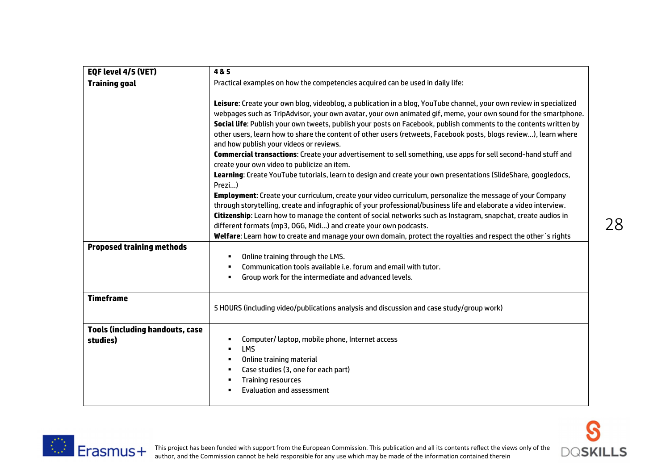| EQF level 4/5 (VET)                                | 4&5                                                                                                                                                                                                                                                                                                                                                                                                                                                                                                                      |  |
|----------------------------------------------------|--------------------------------------------------------------------------------------------------------------------------------------------------------------------------------------------------------------------------------------------------------------------------------------------------------------------------------------------------------------------------------------------------------------------------------------------------------------------------------------------------------------------------|--|
| <b>Training goal</b>                               | Practical examples on how the competencies acquired can be used in daily life:                                                                                                                                                                                                                                                                                                                                                                                                                                           |  |
|                                                    | Leisure: Create your own blog, videoblog, a publication in a blog, YouTube channel, your own review in specialized<br>webpages such as TripAdvisor, your own avatar, your own animated gif, meme, your own sound for the smartphone.<br>Social life: Publish your own tweets, publish your posts on Facebook, publish comments to the contents written by<br>other users, learn how to share the content of other users (retweets, Facebook posts, blogs review), learn where<br>and how publish your videos or reviews. |  |
|                                                    | Commercial transactions: Create your advertisement to sell something, use apps for sell second-hand stuff and<br>create your own video to publicize an item.                                                                                                                                                                                                                                                                                                                                                             |  |
|                                                    | Learning: Create YouTube tutorials, learn to design and create your own presentations (SlideShare, googledocs,<br>Prezi)                                                                                                                                                                                                                                                                                                                                                                                                 |  |
|                                                    | Employment: Create your curriculum, create your video curriculum, personalize the message of your Company<br>through storytelling, create and infographic of your professional/business life and elaborate a video interview.<br>Citizenship: Learn how to manage the content of social networks such as Instagram, snapchat, create audios in<br>different formats (mp3, OGG, Midi) and create your own podcasts.                                                                                                       |  |
|                                                    | Welfare: Learn how to create and manage your own domain, protect the royalties and respect the other's rights                                                                                                                                                                                                                                                                                                                                                                                                            |  |
| <b>Proposed training methods</b>                   | Online training through the LMS.<br>$\blacksquare$<br>Communication tools available i.e. forum and email with tutor.<br>٠<br>Group work for the intermediate and advanced levels.<br>$\blacksquare$                                                                                                                                                                                                                                                                                                                      |  |
| <b>Timeframe</b>                                   | 5 HOURS (including video/publications analysis and discussion and case study/group work)                                                                                                                                                                                                                                                                                                                                                                                                                                 |  |
| <b>Tools (including handouts, case</b><br>studies) | Computer/laptop, mobile phone, Internet access<br>Е<br><b>LMS</b><br>$\blacksquare$<br>Online training material<br>$\blacksquare$<br>Case studies (3, one for each part)<br>п<br><b>Training resources</b><br>п<br><b>Evaluation and assessment</b>                                                                                                                                                                                                                                                                      |  |

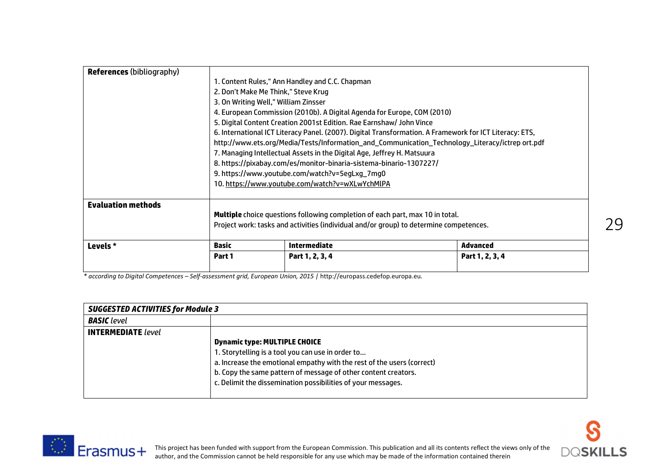| <b>References (bibliography)</b> |                                                                         |                                                                                                         |                 |
|----------------------------------|-------------------------------------------------------------------------|---------------------------------------------------------------------------------------------------------|-----------------|
|                                  |                                                                         | 1. Content Rules," Ann Handley and C.C. Chapman                                                         |                 |
|                                  | 2. Don't Make Me Think," Steve Krug                                     |                                                                                                         |                 |
|                                  | 3. On Writing Well," William Zinsser                                    |                                                                                                         |                 |
|                                  | 4. European Commission (2010b). A Digital Agenda for Europe, COM (2010) |                                                                                                         |                 |
|                                  | 5. Digital Content Creation 2001st Edition. Rae Earnshaw/ John Vince    |                                                                                                         |                 |
|                                  |                                                                         | 6. International ICT Literacy Panel. (2007). Digital Transformation. A Framework for ICT Literacy: ETS, |                 |
|                                  |                                                                         | http://www.ets.org/Media/Tests/Information_and_Communication_Technology_Literacy/ictrep ort.pdf         |                 |
|                                  |                                                                         | 7. Managing Intellectual Assets in the Digital Age, Jeffrey H. Matsuura                                 |                 |
|                                  | 8. https://pixabay.com/es/monitor-binaria-sistema-binario-1307227/      |                                                                                                         |                 |
|                                  | 9. https://www.youtube.com/watch?v=5egLxg_7mg0                          |                                                                                                         |                 |
|                                  |                                                                         | 10. https://www.youtube.com/watch?v=wXLwYchMIPA                                                         |                 |
|                                  |                                                                         |                                                                                                         |                 |
| <b>Evaluation methods</b>        |                                                                         |                                                                                                         |                 |
|                                  |                                                                         | <b>Multiple</b> choice questions following completion of each part, max 10 in total.                    |                 |
|                                  |                                                                         | Project work: tasks and activities (individual and/or group) to determine competences.                  |                 |
| Levels *                         | <b>Basic</b>                                                            | <b>Intermediate</b>                                                                                     | Advanced        |
|                                  | Part 1                                                                  | Part 1, 2, 3, 4                                                                                         | Part 1, 2, 3, 4 |

*\* according to Digital Competences – Self-assessment grid, European Union, 2015 |* http://europass.cedefop.europa.eu*.*

| <b>SUGGESTED ACTIVITIES for Module 3</b> |                                                                        |  |
|------------------------------------------|------------------------------------------------------------------------|--|
| <b>BASIC</b> level                       |                                                                        |  |
| <b>INTERMEDIATE</b> level                |                                                                        |  |
|                                          | <b>Dynamic type: MULTIPLE CHOICE</b>                                   |  |
|                                          | 1. Storytelling is a tool you can use in order to                      |  |
|                                          | a. Increase the emotional empathy with the rest of the users (correct) |  |
|                                          | b. Copy the same pattern of message of other content creators.         |  |
|                                          | c. Delimit the dissemination possibilities of your messages.           |  |
|                                          |                                                                        |  |

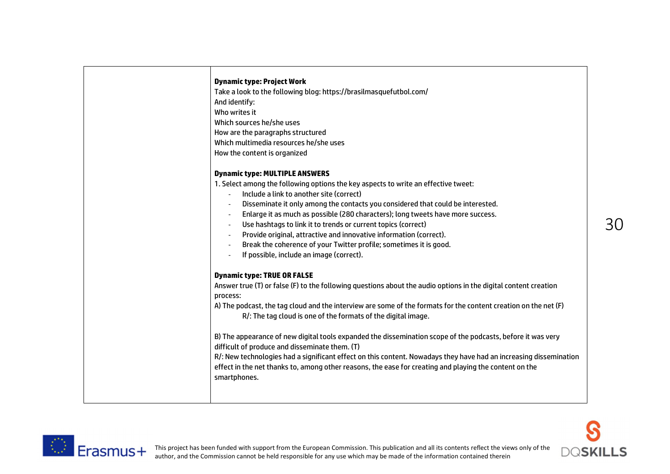| <b>Dynamic type: Project Work</b>                                                                                 |
|-------------------------------------------------------------------------------------------------------------------|
| Take a look to the following blog: https://brasilmasquefutbol.com/                                                |
| And identify:                                                                                                     |
| Who writes it                                                                                                     |
| Which sources he/she uses                                                                                         |
| How are the paragraphs structured                                                                                 |
| Which multimedia resources he/she uses                                                                            |
| How the content is organized                                                                                      |
| <b>Dynamic type: MULTIPLE ANSWERS</b>                                                                             |
| 1. Select among the following options the key aspects to write an effective tweet:                                |
| Include a link to another site (correct)                                                                          |
| Disseminate it only among the contacts you considered that could be interested.                                   |
| Enlarge it as much as possible (280 characters); long tweets have more success.                                   |
| Use hashtags to link it to trends or current topics (correct)                                                     |
| Provide original, attractive and innovative information (correct).                                                |
| Break the coherence of your Twitter profile; sometimes it is good.                                                |
| If possible, include an image (correct).                                                                          |
| <b>Dynamic type: TRUE OR FALSE</b>                                                                                |
| Answer true (T) or false (F) to the following questions about the audio options in the digital content creation   |
| process:                                                                                                          |
| A) The podcast, the tag cloud and the interview are some of the formats for the content creation on the net (F)   |
| R/: The tag cloud is one of the formats of the digital image.                                                     |
| B) The appearance of new digital tools expanded the dissemination scope of the podcasts, before it was very       |
| difficult of produce and disseminate them. (T)                                                                    |
| R/: New technologies had a significant effect on this content. Nowadays they have had an increasing dissemination |
| effect in the net thanks to, among other reasons, the ease for creating and playing the content on the            |
| smartphones.                                                                                                      |



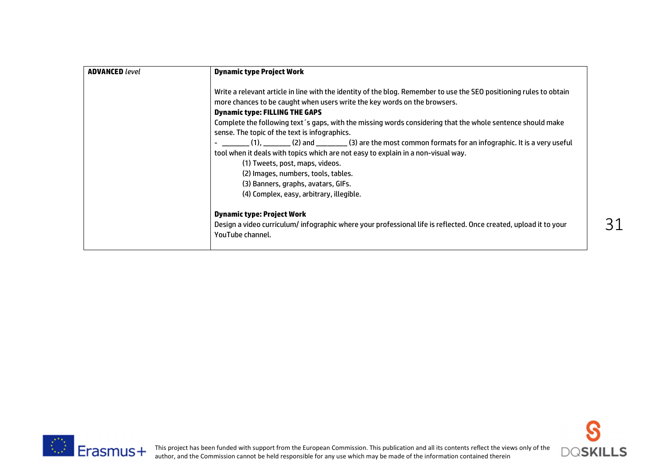| <b>ADVANCED</b> level | <b>Dynamic type Project Work</b>                                                                                                                                                                                                                                                                                                                                                                                                                                                                                                                                                                                                                                                                                                                                      |
|-----------------------|-----------------------------------------------------------------------------------------------------------------------------------------------------------------------------------------------------------------------------------------------------------------------------------------------------------------------------------------------------------------------------------------------------------------------------------------------------------------------------------------------------------------------------------------------------------------------------------------------------------------------------------------------------------------------------------------------------------------------------------------------------------------------|
|                       | Write a relevant article in line with the identity of the blog. Remember to use the SEO positioning rules to obtain<br>more chances to be caught when users write the key words on the browsers.<br><b>Dynamic type: FILLING THE GAPS</b><br>Complete the following text's gaps, with the missing words considering that the whole sentence should make<br>sense. The topic of the text is infographics.<br>(1), ________ (2) and _________ (3) are the most common formats for an infographic. It is a very useful<br>tool when it deals with topics which are not easy to explain in a non-visual way.<br>(1) Tweets, post, maps, videos.<br>(2) Images, numbers, tools, tables.<br>(3) Banners, graphs, avatars, GIFs.<br>(4) Complex, easy, arbitrary, illegible. |
|                       | <b>Dynamic type: Project Work</b><br>Design a video curriculum/infographic where your professional life is reflected. Once created, upload it to your<br>YouTube channel.                                                                                                                                                                                                                                                                                                                                                                                                                                                                                                                                                                                             |



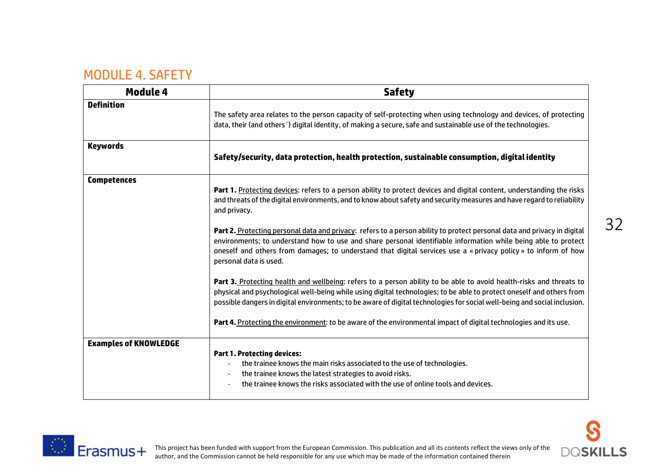#### MODULE 4. SAFETY

| Module 4                     | <b>Safety</b>                                                                                                                                                                                                                                                                                                                                                                          |  |
|------------------------------|----------------------------------------------------------------------------------------------------------------------------------------------------------------------------------------------------------------------------------------------------------------------------------------------------------------------------------------------------------------------------------------|--|
| <b>Definition</b>            | The safety area relates to the person capacity of self-protecting when using technology and devices, of protecting<br>data, their (and others') digital identity, of making a secure, safe and sustainable use of the technologies.                                                                                                                                                    |  |
| <b>Keywords</b>              | Safety/security, data protection, health protection, sustainable consumption, digital identity                                                                                                                                                                                                                                                                                         |  |
| <b>Competences</b>           | Part 1. Protecting devices: refers to a person ability to protect devices and digital content, understanding the risks<br>and threats of the digital environments, and to know about safety and security measures and have regard to reliability<br>and privacy.                                                                                                                       |  |
|                              | Part 2. Protecting personal data and privacy: refers to a person ability to protect personal data and privacy in digital<br>environments; to understand how to use and share personal identifiable information while being able to protect<br>oneself and others from damages; to understand that digital services use a « privacy policy » to inform of how<br>personal data is used. |  |
|                              | Part 3. Protecting health and wellbeing: refers to a person ability to be able to avoid health-risks and threats to<br>physical and psychological well-being while using digital technologies; to be able to protect oneself and others from<br>possible dangers in digital environments; to be aware of digital technologies for social well-being and social inclusion.              |  |
|                              | Part 4. Protecting the environment: to be aware of the environmental impact of digital technologies and its use.                                                                                                                                                                                                                                                                       |  |
| <b>Examples of KNOWLEDGE</b> | <b>Part 1. Protecting devices:</b><br>the trainee knows the main risks associated to the use of technologies.<br>the trainee knows the latest strategies to avoid risks.<br>$\overline{\phantom{a}}$<br>the trainee knows the risks associated with the use of online tools and devices.                                                                                               |  |



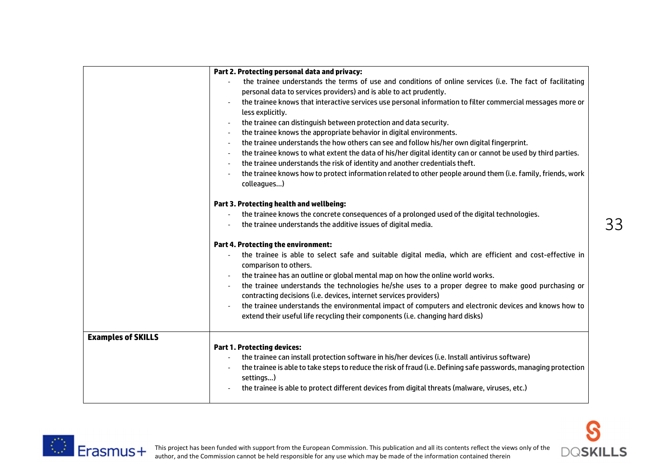|                           | Part 2. Protecting personal data and privacy:                                                                                                                                           |
|---------------------------|-----------------------------------------------------------------------------------------------------------------------------------------------------------------------------------------|
|                           | the trainee understands the terms of use and conditions of online services (i.e. The fact of facilitating                                                                               |
|                           | personal data to services providers) and is able to act prudently.                                                                                                                      |
|                           | the trainee knows that interactive services use personal information to filter commercial messages more or<br>$\overline{\phantom{a}}$                                                  |
|                           | less explicitly.                                                                                                                                                                        |
|                           | the trainee can distinguish between protection and data security.                                                                                                                       |
|                           | the trainee knows the appropriate behavior in digital environments.<br>$\overline{\phantom{a}}$                                                                                         |
|                           | the trainee understands the how others can see and follow his/her own digital fingerprint.<br>$\overline{\phantom{a}}$                                                                  |
|                           | the trainee knows to what extent the data of his/her digital identity can or cannot be used by third parties.                                                                           |
|                           | the trainee understands the risk of identity and another credentials theft.<br>$\overline{\phantom{a}}$                                                                                 |
|                           | the trainee knows how to protect information related to other people around them (i.e. family, friends, work<br>colleagues)                                                             |
|                           | Part 3. Protecting health and wellbeing:                                                                                                                                                |
|                           | the trainee knows the concrete consequences of a prolonged used of the digital technologies.                                                                                            |
|                           | the trainee understands the additive issues of digital media.                                                                                                                           |
|                           | <b>Part 4. Protecting the environment:</b>                                                                                                                                              |
|                           | the trainee is able to select safe and suitable digital media, which are efficient and cost-effective in<br>comparison to others.                                                       |
|                           | the trainee has an outline or global mental map on how the online world works.                                                                                                          |
|                           | the trainee understands the technologies he/she uses to a proper degree to make good purchasing or<br>contracting decisions (i.e. devices, internet services providers)                 |
|                           | the trainee understands the environmental impact of computers and electronic devices and knows how to<br>extend their useful life recycling their components (i.e. changing hard disks) |
| <b>Examples of SKILLS</b> |                                                                                                                                                                                         |
|                           | <b>Part 1. Protecting devices:</b>                                                                                                                                                      |
|                           | the trainee can install protection software in his/her devices (i.e. Install antivirus software)                                                                                        |
|                           | the trainee is able to take steps to reduce the risk of fraud (i.e. Defining safe passwords, managing protection<br>settings)                                                           |
|                           | the trainee is able to protect different devices from digital threats (malware, viruses, etc.)                                                                                          |



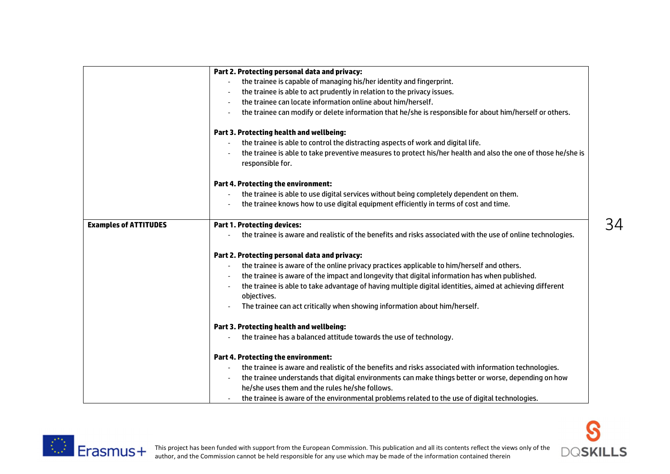|                              | Part 2. Protecting personal data and privacy:                                                                                     |
|------------------------------|-----------------------------------------------------------------------------------------------------------------------------------|
|                              | the trainee is capable of managing his/her identity and fingerprint.                                                              |
|                              | the trainee is able to act prudently in relation to the privacy issues.                                                           |
|                              | the trainee can locate information online about him/herself.                                                                      |
|                              | the trainee can modify or delete information that he/she is responsible for about him/herself or others.                          |
|                              | Part 3. Protecting health and wellbeing:                                                                                          |
|                              | the trainee is able to control the distracting aspects of work and digital life.                                                  |
|                              | the trainee is able to take preventive measures to protect his/her health and also the one of those he/she is<br>responsible for. |
|                              | <b>Part 4. Protecting the environment:</b>                                                                                        |
|                              | the trainee is able to use digital services without being completely dependent on them.                                           |
|                              | the trainee knows how to use digital equipment efficiently in terms of cost and time.                                             |
| <b>Examples of ATTITUDES</b> | <b>Part 1. Protecting devices:</b>                                                                                                |
|                              | the trainee is aware and realistic of the benefits and risks associated with the use of online technologies.                      |
|                              | Part 2. Protecting personal data and privacy:                                                                                     |
|                              | the trainee is aware of the online privacy practices applicable to him/herself and others.                                        |
|                              | the trainee is aware of the impact and longevity that digital information has when published.                                     |
|                              | the trainee is able to take advantage of having multiple digital identities, aimed at achieving different<br>objectives.          |
|                              | The trainee can act critically when showing information about him/herself.                                                        |
|                              | Part 3. Protecting health and wellbeing:                                                                                          |
|                              | the trainee has a balanced attitude towards the use of technology.                                                                |
|                              | <b>Part 4. Protecting the environment:</b>                                                                                        |
|                              | the trainee is aware and realistic of the benefits and risks associated with information technologies.                            |
|                              | the trainee understands that digital environments can make things better or worse, depending on how                               |
|                              | he/she uses them and the rules he/she follows.                                                                                    |
|                              | the trainee is aware of the environmental problems related to the use of digital technologies.                                    |



 $\bf S$ 

**DQSKILLS**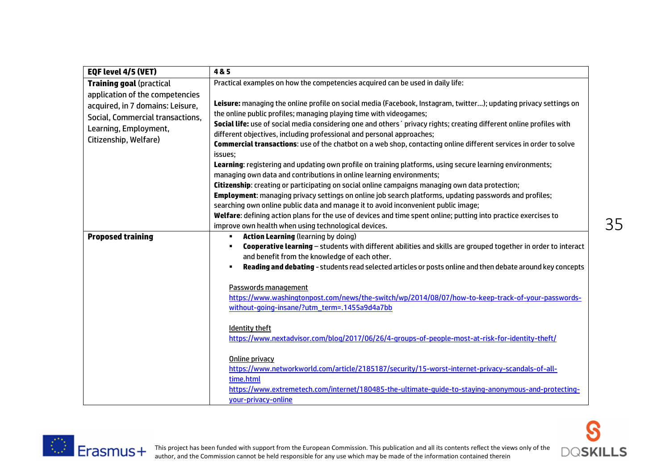| EQF level 4/5 (VET)                                                                                                                                       | 4&5                                                                                                                                                                                                                                                                                                                                                                                                                                                                                                                                                                                                                                                                                                                                                                                                                                                                                                                                                                                                                      |
|-----------------------------------------------------------------------------------------------------------------------------------------------------------|--------------------------------------------------------------------------------------------------------------------------------------------------------------------------------------------------------------------------------------------------------------------------------------------------------------------------------------------------------------------------------------------------------------------------------------------------------------------------------------------------------------------------------------------------------------------------------------------------------------------------------------------------------------------------------------------------------------------------------------------------------------------------------------------------------------------------------------------------------------------------------------------------------------------------------------------------------------------------------------------------------------------------|
| <b>Training goal (practical</b>                                                                                                                           | Practical examples on how the competencies acquired can be used in daily life:                                                                                                                                                                                                                                                                                                                                                                                                                                                                                                                                                                                                                                                                                                                                                                                                                                                                                                                                           |
| application of the competencies<br>acquired, in 7 domains: Leisure,<br>Social, Commercial transactions,<br>Learning, Employment,<br>Citizenship, Welfare) | Leisure: managing the online profile on social media (Facebook, Instagram, twitter); updating privacy settings on<br>the online public profiles; managing playing time with videogames;<br>Social life: use of social media considering one and others ' privacy rights; creating different online profiles with<br>different objectives, including professional and personal approaches;<br><b>Commercial transactions:</b> use of the chatbot on a web shop, contacting online different services in order to solve<br>issues;<br>Learning: registering and updating own profile on training platforms, using secure learning environments;<br>managing own data and contributions in online learning environments;<br>Citizenship: creating or participating on social online campaigns managing own data protection;<br>Employment: managing privacy settings on online job search platforms, updating passwords and profiles;<br>searching own online public data and manage it to avoid inconvenient public image; |
|                                                                                                                                                           | Welfare: defining action plans for the use of devices and time spent online; putting into practice exercises to<br>improve own health when using technological devices.                                                                                                                                                                                                                                                                                                                                                                                                                                                                                                                                                                                                                                                                                                                                                                                                                                                  |
| <b>Proposed training</b>                                                                                                                                  | <b>Action Learning (learning by doing)</b><br>Cooperative learning - students with different abilities and skills are grouped together in order to interact<br>and benefit from the knowledge of each other.<br>Reading and debating - students read selected articles or posts online and then debate around key concepts                                                                                                                                                                                                                                                                                                                                                                                                                                                                                                                                                                                                                                                                                               |
|                                                                                                                                                           | Passwords management<br>https://www.washingtonpost.com/news/the-switch/wp/2014/08/07/how-to-keep-track-of-your-passwords-<br>without-going-insane/?utm_term=.1455a9d4a7bb<br><b>Identity theft</b>                                                                                                                                                                                                                                                                                                                                                                                                                                                                                                                                                                                                                                                                                                                                                                                                                       |
|                                                                                                                                                           | https://www.nextadvisor.com/blog/2017/06/26/4-groups-of-people-most-at-risk-for-identity-theft/                                                                                                                                                                                                                                                                                                                                                                                                                                                                                                                                                                                                                                                                                                                                                                                                                                                                                                                          |
|                                                                                                                                                           | Online privacy<br>https://www.networkworld.com/article/2185187/security/15-worst-internet-privacy-scandals-of-all-<br>time.html<br>https://www.extremetech.com/internet/180485-the-ultimate-quide-to-staying-anonymous-and-protecting-<br>your-privacy-online                                                                                                                                                                                                                                                                                                                                                                                                                                                                                                                                                                                                                                                                                                                                                            |



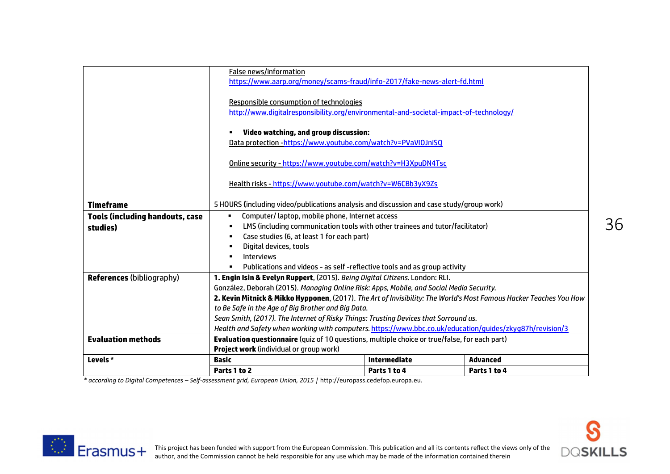|                                                    | <b>False news/information</b><br>https://www.aarp.org/money/scams-fraud/info-2017/fake-news-alert-fd.html                                                                                                                                                                                                                                                                                                                                                                                                                                                |                     |                 |
|----------------------------------------------------|----------------------------------------------------------------------------------------------------------------------------------------------------------------------------------------------------------------------------------------------------------------------------------------------------------------------------------------------------------------------------------------------------------------------------------------------------------------------------------------------------------------------------------------------------------|---------------------|-----------------|
|                                                    | Responsible consumption of technologies<br>http://www.digitalresponsibility.org/environmental-and-societal-impact-of-technology/                                                                                                                                                                                                                                                                                                                                                                                                                         |                     |                 |
|                                                    | Video watching, and group discussion:<br>٠<br>Data protection -https://www.youtube.com/watch?v=PVaVIOJniSQ                                                                                                                                                                                                                                                                                                                                                                                                                                               |                     |                 |
|                                                    | Online security - https://www.youtube.com/watch?v=H3XpuDN4Tsc                                                                                                                                                                                                                                                                                                                                                                                                                                                                                            |                     |                 |
|                                                    | Health risks - https://www.youtube.com/watch?v=W6CBb3vX9Zs                                                                                                                                                                                                                                                                                                                                                                                                                                                                                               |                     |                 |
| <b>Timeframe</b>                                   | 5 HOURS (including video/publications analysis and discussion and case study/group work)                                                                                                                                                                                                                                                                                                                                                                                                                                                                 |                     |                 |
| <b>Tools (including handouts, case</b><br>studies) | Computer/laptop, mobile phone, Internet access<br>٠<br>LMS (including communication tools with other trainees and tutor/facilitator)<br>٠<br>Case studies (6, at least 1 for each part)<br>٠<br>Digital devices, tools<br>٠<br><b>Interviews</b><br>$\blacksquare$<br>Publications and videos - as self-reflective tools and as group activity<br>٠                                                                                                                                                                                                      |                     |                 |
| <b>References (bibliography)</b>                   | 1. Engin Isin & Evelyn Ruppert, (2015). Being Digital Citizens. London: RLI.<br>González, Deborah (2015). Managing Online Risk: Apps, Mobile, and Social Media Security.<br>2. Kevin Mitnick & Mikko Hypponen, (2017). The Art of Invisibility: The World's Most Famous Hacker Teaches You How<br>to Be Safe in the Age of Big Brother and Big Data.<br>Sean Smith, (2017). The Internet of Risky Things: Trusting Devices that Sorround us.<br>Health and Safety when working with computers. https://www.bbc.co.uk/education/quides/zkyq87h/revision/3 |                     |                 |
| <b>Evaluation methods</b>                          | <b>Evaluation questionnaire</b> (quiz of 10 questions, multiple choice or true/false, for each part)                                                                                                                                                                                                                                                                                                                                                                                                                                                     |                     |                 |
|                                                    | <b>Project work (individual or group work)</b>                                                                                                                                                                                                                                                                                                                                                                                                                                                                                                           |                     |                 |
| Levels*                                            | <b>Basic</b>                                                                                                                                                                                                                                                                                                                                                                                                                                                                                                                                             | <b>Intermediate</b> | <b>Advanced</b> |
|                                                    | Parts 1 to 2                                                                                                                                                                                                                                                                                                                                                                                                                                                                                                                                             | Parts 1 to 4        | Parts 1 to 4    |

*\* according to Digital Competences – Self-assessment grid, European Union, 2015 |* http://europass.cedefop.europa.eu*.*



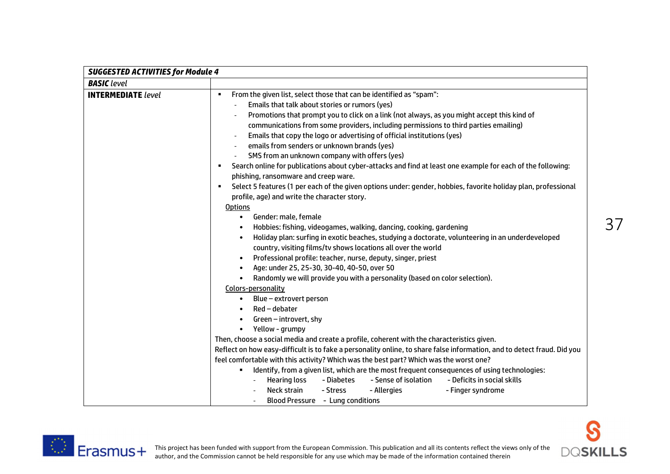

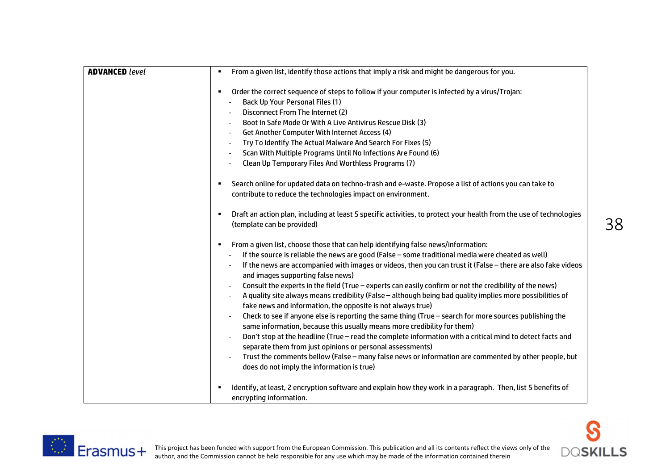| <b>ADVANCED level</b> | From a given list, identify those actions that imply a risk and might be dangerous for you.<br>٠                                                                                  |
|-----------------------|-----------------------------------------------------------------------------------------------------------------------------------------------------------------------------------|
|                       | Order the correct sequence of steps to follow if your computer is infected by a virus/Trojan:<br>٠                                                                                |
|                       | Back Up Your Personal Files (1)                                                                                                                                                   |
|                       | Disconnect From The Internet (2)                                                                                                                                                  |
|                       | Boot In Safe Mode Or With A Live Antivirus Rescue Disk (3)<br>$\overline{\phantom{a}}$                                                                                            |
|                       | Get Another Computer With Internet Access (4)<br>$\blacksquare$                                                                                                                   |
|                       | Try To Identify The Actual Malware And Search For Fixes (5)<br>$\overline{\phantom{a}}$                                                                                           |
|                       | Scan With Multiple Programs Until No Infections Are Found (6)                                                                                                                     |
|                       | Clean Up Temporary Files And Worthless Programs (7)                                                                                                                               |
|                       | Search online for updated data on techno-trash and e-waste. Propose a list of actions you can take to<br>contribute to reduce the technologies impact on environment.             |
|                       | Draft an action plan, including at least 5 specific activities, to protect your health from the use of technologies<br>(template can be provided)                                 |
|                       | From a given list, choose those that can help identifying false news/information:<br>٠                                                                                            |
|                       | If the source is reliable the news are good (False - some traditional media were cheated as well)                                                                                 |
|                       | If the news are accompanied with images or videos, then you can trust it (False - there are also fake videos<br>and images supporting false news)                                 |
|                       | Consult the experts in the field (True - experts can easily confirm or not the credibility of the news)                                                                           |
|                       | A quality site always means credibility (False - although being bad quality implies more possibilities of<br>fake news and information, the opposite is not always true)          |
|                       | Check to see if anyone else is reporting the same thing (True - search for more sources publishing the<br>same information, because this usually means more credibility for them) |
|                       | Don't stop at the headline (True - read the complete information with a critical mind to detect facts and                                                                         |
|                       | separate them from just opinions or personal assessments)                                                                                                                         |
|                       | Trust the comments bellow (False - many false news or information are commented by other people, but                                                                              |
|                       | does do not imply the information is true)                                                                                                                                        |
|                       | Identify, at least, 2 encryption software and explain how they work in a paragraph. Then, list 5 benefits of<br>encrypting information.                                           |



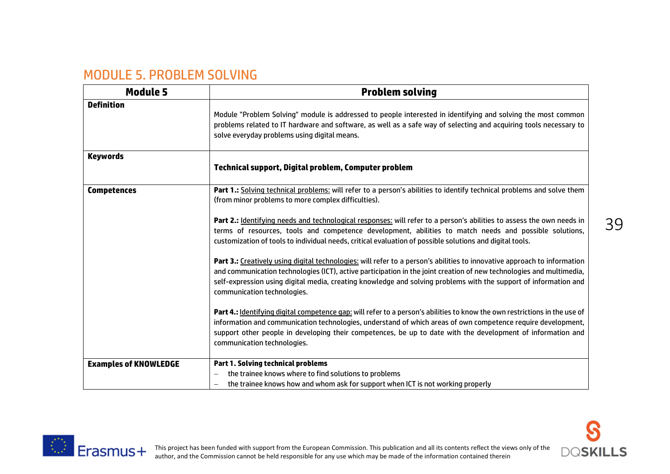## MODULE 5. PROBLEM SOLVING

| <b>Module 5</b>              | <b>Problem solving</b>                                                                                                                                                                                                                                                                                                                                                                              |  |  |
|------------------------------|-----------------------------------------------------------------------------------------------------------------------------------------------------------------------------------------------------------------------------------------------------------------------------------------------------------------------------------------------------------------------------------------------------|--|--|
| <b>Definition</b>            | Module "Problem Solving" module is addressed to people interested in identifying and solving the most common<br>problems related to IT hardware and software, as well as a safe way of selecting and acquiring tools necessary to<br>solve everyday problems using digital means.                                                                                                                   |  |  |
| <b>Keywords</b>              | Technical support, Digital problem, Computer problem                                                                                                                                                                                                                                                                                                                                                |  |  |
| <b>Competences</b>           | Part 1.: Solving technical problems: will refer to a person's abilities to identify technical problems and solve them<br>(from minor problems to more complex difficulties).                                                                                                                                                                                                                        |  |  |
|                              | Part 2.: Identifying needs and technological responses: will refer to a person's abilities to assess the own needs in<br>terms of resources, tools and competence development, abilities to match needs and possible solutions,<br>customization of tools to individual needs, critical evaluation of possible solutions and digital tools.                                                         |  |  |
|                              | Part 3.: Creatively using digital technologies: will refer to a person's abilities to innovative approach to information<br>and communication technologies (ICT), active participation in the joint creation of new technologies and multimedia,<br>self-expression using digital media, creating knowledge and solving problems with the support of information and<br>communication technologies. |  |  |
|                              | Part 4.: <i>Identifying digital competence gap</i> : will refer to a person's abilities to know the own restrictions in the use of<br>information and communication technologies, understand of which areas of own competence require development,<br>support other people in developing their competences, be up to date with the development of information and<br>communication technologies.    |  |  |
| <b>Examples of KNOWLEDGE</b> | <b>Part 1. Solving technical problems</b><br>the trainee knows where to find solutions to problems<br>the trainee knows how and whom ask for support when ICT is not working properly                                                                                                                                                                                                               |  |  |

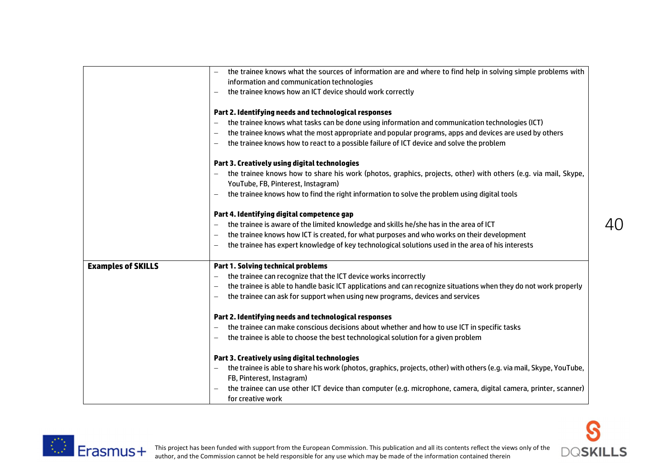|                           | the trainee knows what the sources of information are and where to find help in solving simple problems with<br>information and communication technologies<br>the trainee knows how an ICT device should work correctly |    |
|---------------------------|-------------------------------------------------------------------------------------------------------------------------------------------------------------------------------------------------------------------------|----|
|                           | Part 2. Identifying needs and technological responses                                                                                                                                                                   |    |
|                           | the trainee knows what tasks can be done using information and communication technologies (ICT)<br>$\overline{\phantom{0}}$                                                                                             |    |
|                           | the trainee knows what the most appropriate and popular programs, apps and devices are used by others                                                                                                                   |    |
|                           | the trainee knows how to react to a possible failure of ICT device and solve the problem                                                                                                                                |    |
|                           | Part 3. Creatively using digital technologies                                                                                                                                                                           |    |
|                           | the trainee knows how to share his work (photos, graphics, projects, other) with others (e.g. via mail, Skype,<br>YouTube, FB, Pinterest, Instagram)                                                                    |    |
|                           | the trainee knows how to find the right information to solve the problem using digital tools                                                                                                                            |    |
|                           | Part 4. Identifying digital competence gap                                                                                                                                                                              |    |
|                           | the trainee is aware of the limited knowledge and skills he/she has in the area of ICT<br>$\overline{\phantom{0}}$                                                                                                      | 40 |
|                           | the trainee knows how ICT is created, for what purposes and who works on their development                                                                                                                              |    |
|                           | the trainee has expert knowledge of key technological solutions used in the area of his interests                                                                                                                       |    |
| <b>Examples of SKILLS</b> | <b>Part 1. Solving technical problems</b>                                                                                                                                                                               |    |
|                           | the trainee can recognize that the ICT device works incorrectly                                                                                                                                                         |    |
|                           | the trainee is able to handle basic ICT applications and can recognize situations when they do not work properly                                                                                                        |    |
|                           | the trainee can ask for support when using new programs, devices and services                                                                                                                                           |    |
|                           | Part 2. Identifying needs and technological responses                                                                                                                                                                   |    |
|                           | the trainee can make conscious decisions about whether and how to use ICT in specific tasks                                                                                                                             |    |
|                           | the trainee is able to choose the best technological solution for a given problem                                                                                                                                       |    |
|                           | Part 3. Creatively using digital technologies                                                                                                                                                                           |    |
|                           | the trainee is able to share his work (photos, graphics, projects, other) with others (e.g. via mail, Skype, YouTube,                                                                                                   |    |
|                           | FB, Pinterest, Instagram)                                                                                                                                                                                               |    |
|                           | the trainee can use other ICT device than computer (e.g. microphone, camera, digital camera, printer, scanner)<br>for creative work                                                                                     |    |

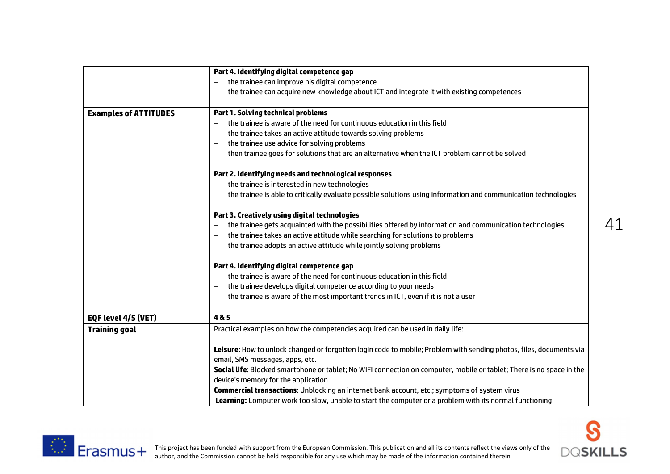|                              | Part 4. Identifying digital competence gap                                                                                |
|------------------------------|---------------------------------------------------------------------------------------------------------------------------|
|                              | the trainee can improve his digital competence                                                                            |
|                              | the trainee can acquire new knowledge about ICT and integrate it with existing competences                                |
|                              |                                                                                                                           |
| <b>Examples of ATTITUDES</b> | <b>Part 1. Solving technical problems</b>                                                                                 |
|                              | the trainee is aware of the need for continuous education in this field                                                   |
|                              | the trainee takes an active attitude towards solving problems<br>$\overline{\phantom{0}}$                                 |
|                              | the trainee use advice for solving problems<br>$\overline{\phantom{0}}$                                                   |
|                              | then trainee goes for solutions that are an alternative when the ICT problem cannot be solved<br>$\overline{\phantom{0}}$ |
|                              | Part 2. Identifying needs and technological responses                                                                     |
|                              | the trainee is interested in new technologies                                                                             |
|                              | the trainee is able to critically evaluate possible solutions using information and communication technologies            |
|                              | Part 3. Creatively using digital technologies                                                                             |
|                              | the trainee gets acquainted with the possibilities offered by information and communication technologies                  |
|                              | the trainee takes an active attitude while searching for solutions to problems                                            |
|                              | the trainee adopts an active attitude while jointly solving problems<br>$\overline{\phantom{0}}$                          |
|                              | Part 4. Identifying digital competence gap                                                                                |
|                              | the trainee is aware of the need for continuous education in this field<br>$\overline{\phantom{0}}$                       |
|                              | the trainee develops digital competence according to your needs                                                           |
|                              | the trainee is aware of the most important trends in ICT, even if it is not a user<br>$\overline{\phantom{0}}$            |
|                              |                                                                                                                           |
| EQF level 4/5 (VET)          | 4&5                                                                                                                       |
| <b>Training goal</b>         | Practical examples on how the competencies acquired can be used in daily life:                                            |
|                              | Leisure: How to unlock changed or forgotten login code to mobile; Problem with sending photos, files, documents via       |
|                              | email, SMS messages, apps, etc.                                                                                           |
|                              | Social life: Blocked smartphone or tablet; No WIFI connection on computer, mobile or tablet; There is no space in the     |
|                              | device's memory for the application                                                                                       |
|                              | Commercial transactions: Unblocking an internet bank account, etc.; symptoms of system virus                              |
|                              | Learning: Computer work too slow, unable to start the computer or a problem with its normal functioning                   |



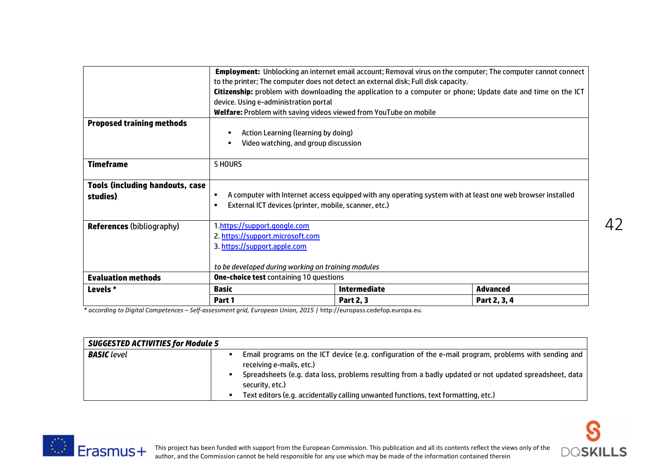|                                                    | Part 1                                                                                                        | <b>Part 2, 3</b>    | Part 2, 3, 4                                                                                                        |
|----------------------------------------------------|---------------------------------------------------------------------------------------------------------------|---------------------|---------------------------------------------------------------------------------------------------------------------|
| Levels *                                           | Basic                                                                                                         | <b>Intermediate</b> | <b>Advanced</b>                                                                                                     |
| <b>Evaluation methods</b>                          | <b>One-choice test containing 10 questions</b>                                                                |                     |                                                                                                                     |
|                                                    | to be developed during working on training modules                                                            |                     |                                                                                                                     |
|                                                    | 3. https://support.apple.com                                                                                  |                     |                                                                                                                     |
|                                                    | 2. https://support.microsoft.com                                                                              |                     |                                                                                                                     |
| <b>References (bibliography)</b>                   | 1.https://support.google.com                                                                                  |                     |                                                                                                                     |
|                                                    |                                                                                                               |                     |                                                                                                                     |
|                                                    | External ICT devices (printer, mobile, scanner, etc.)<br>$\blacksquare$                                       |                     |                                                                                                                     |
| <b>Tools (including handouts, case</b><br>studies) | ٠                                                                                                             |                     | A computer with Internet access equipped with any operating system with at least one web browser installed          |
|                                                    |                                                                                                               |                     |                                                                                                                     |
| <b>Timeframe</b>                                   | 5 HOURS                                                                                                       |                     |                                                                                                                     |
|                                                    | Video watching, and group discussion                                                                          |                     |                                                                                                                     |
|                                                    | Action Learning (learning by doing)                                                                           |                     |                                                                                                                     |
| <b>Proposed training methods</b>                   |                                                                                                               |                     |                                                                                                                     |
|                                                    | Welfare: Problem with saving videos viewed from YouTube on mobile                                             |                     |                                                                                                                     |
|                                                    | device. Using e-administration portal                                                                         |                     |                                                                                                                     |
|                                                    | Citizenship: problem with downloading the application to a computer or phone; Update date and time on the ICT |                     |                                                                                                                     |
|                                                    | to the printer; The computer does not detect an external disk; Full disk capacity.                            |                     |                                                                                                                     |
|                                                    |                                                                                                               |                     | <b>Employment:</b> Unblocking an internet email account; Removal virus on the computer; The computer cannot connect |

*\* according to Digital Competences – Self-assessment grid, European Union, 2015 |* http://europass.cedefop.europa.eu*.*

| <b>SUGGESTED ACTIVITIES for Module 5</b> |  |                                                                                                                                   |  |
|------------------------------------------|--|-----------------------------------------------------------------------------------------------------------------------------------|--|
| <b>BASIC</b> level                       |  | Email programs on the ICT device (e.g. configuration of the e-mail program, problems with sending and<br>receiving e-mails, etc.) |  |
|                                          |  | Spreadsheets (e.g. data loss, problems resulting from a badly updated or not updated spreadsheet, data<br>security, etc.)         |  |
|                                          |  | Text editors (e.g. accidentally calling unwanted functions, text formatting, etc.)                                                |  |



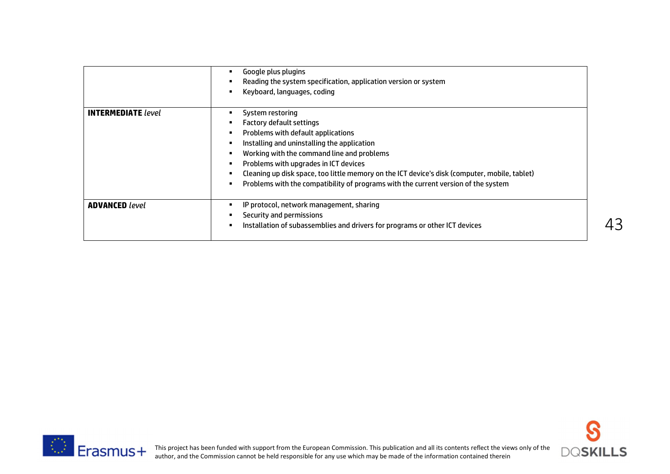|                           | Google plus plugins<br>Reading the system specification, application version or system<br>Keyboard, languages, coding                                                                                                                                                                                                                                                                                           |
|---------------------------|-----------------------------------------------------------------------------------------------------------------------------------------------------------------------------------------------------------------------------------------------------------------------------------------------------------------------------------------------------------------------------------------------------------------|
| <b>INTERMEDIATE</b> level | System restoring<br>Factory default settings<br>Problems with default applications<br>Installing and uninstalling the application<br>Working with the command line and problems<br>Problems with upgrades in ICT devices<br>Cleaning up disk space, too little memory on the ICT device's disk (computer, mobile, tablet)<br>Problems with the compatibility of programs with the current version of the system |
| <b>ADVANCED</b> level     | IP protocol, network management, sharing<br>Security and permissions<br>Installation of subassemblies and drivers for programs or other ICT devices                                                                                                                                                                                                                                                             |